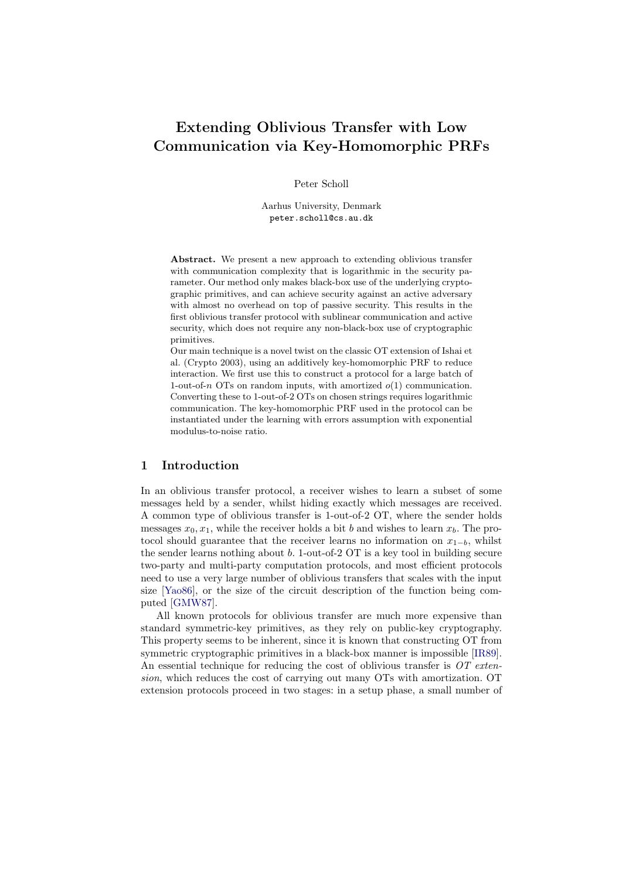# <span id="page-0-0"></span>Extending Oblivious Transfer with Low Communication via Key-Homomorphic PRFs

Peter Scholl

Aarhus University, Denmark peter.scholl@cs.au.dk

Abstract. We present a new approach to extending oblivious transfer with communication complexity that is logarithmic in the security parameter. Our method only makes black-box use of the underlying cryptographic primitives, and can achieve security against an active adversary with almost no overhead on top of passive security. This results in the first oblivious transfer protocol with sublinear communication and active security, which does not require any non-black-box use of cryptographic primitives.

Our main technique is a novel twist on the classic OT extension of Ishai et al. (Crypto 2003), using an additively key-homomorphic PRF to reduce interaction. We first use this to construct a protocol for a large batch of 1-out-of-n OTs on random inputs, with amortized  $o(1)$  communication. Converting these to 1-out-of-2 OTs on chosen strings requires logarithmic communication. The key-homomorphic PRF used in the protocol can be instantiated under the learning with errors assumption with exponential modulus-to-noise ratio.

## 1 Introduction

In an oblivious transfer protocol, a receiver wishes to learn a subset of some messages held by a sender, whilst hiding exactly which messages are received. A common type of oblivious transfer is 1-out-of-2 OT, where the sender holds messages  $x_0, x_1$ , while the receiver holds a bit b and wishes to learn  $x_b$ . The protocol should guarantee that the receiver learns no information on  $x_{1-b}$ , whilst the sender learns nothing about  $b$ . 1-out-of-2  $\overline{OT}$  is a key tool in building secure two-party and multi-party computation protocols, and most efficient protocols need to use a very large number of oblivious transfers that scales with the input size [\[Yao86\]](#page-29-0), or the size of the circuit description of the function being computed [\[GMW87\]](#page-27-0).

All known protocols for oblivious transfer are much more expensive than standard symmetric-key primitives, as they rely on public-key cryptography. This property seems to be inherent, since it is known that constructing OT from symmetric cryptographic primitives in a black-box manner is impossible [\[IR89\]](#page-28-0). An essential technique for reducing the cost of oblivious transfer is  $OT$  extension, which reduces the cost of carrying out many OTs with amortization. OT extension protocols proceed in two stages: in a setup phase, a small number of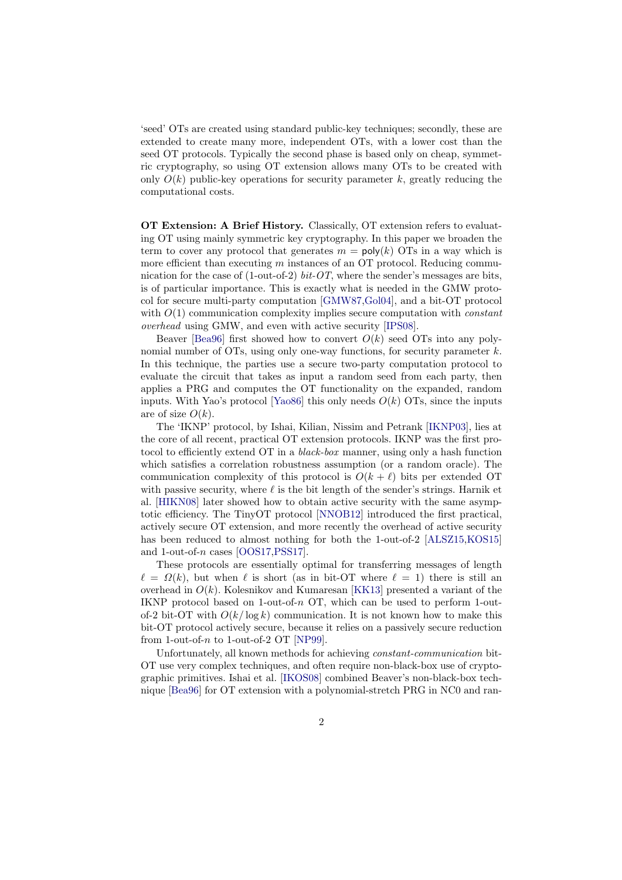'seed' OTs are created using standard public-key techniques; secondly, these are extended to create many more, independent OTs, with a lower cost than the seed OT protocols. Typically the second phase is based only on cheap, symmetric cryptography, so using OT extension allows many OTs to be created with only  $O(k)$  public-key operations for security parameter k, greatly reducing the computational costs.

OT Extension: A Brief History. Classically, OT extension refers to evaluating OT using mainly symmetric key cryptography. In this paper we broaden the term to cover any protocol that generates  $m = poly(k)$  OTs in a way which is more efficient than executing  $m$  instances of an OT protocol. Reducing communication for the case of  $(1$ -out-of-2) bit-OT, where the sender's messages are bits, is of particular importance. This is exactly what is needed in the GMW protocol for secure multi-party computation [\[GMW87](#page-27-0)[,Gol04\]](#page-27-1), and a bit-OT protocol with  $O(1)$  communication complexity implies secure computation with *constant* overhead using GMW, and even with active security [\[IPS08\]](#page-28-1).

Beaver [\[Bea96\]](#page-26-0) first showed how to convert  $O(k)$  seed OTs into any polynomial number of OTs, using only one-way functions, for security parameter  $k$ . In this technique, the parties use a secure two-party computation protocol to evaluate the circuit that takes as input a random seed from each party, then applies a PRG and computes the OT functionality on the expanded, random inputs. With Yao's protocol [\[Yao86\]](#page-29-0) this only needs  $O(k)$  OTs, since the inputs are of size  $O(k)$ .

The 'IKNP' protocol, by Ishai, Kilian, Nissim and Petrank [\[IKNP03\]](#page-28-2), lies at the core of all recent, practical OT extension protocols. IKNP was the first protocol to efficiently extend OT in a *black-box* manner, using only a hash function which satisfies a correlation robustness assumption (or a random oracle). The communication complexity of this protocol is  $O(k + \ell)$  bits per extended OT with passive security, where  $\ell$  is the bit length of the sender's strings. Harnik et al. [\[HIKN08\]](#page-28-3) later showed how to obtain active security with the same asymptotic efficiency. The TinyOT protocol [\[NNOB12\]](#page-28-4) introduced the first practical, actively secure OT extension, and more recently the overhead of active security has been reduced to almost nothing for both the 1-out-of-2 [\[ALSZ15,](#page-26-1)[KOS15\]](#page-28-5) and 1-out-of-n cases [\[OOS17,](#page-28-6)[PSS17\]](#page-29-1).

These protocols are essentially optimal for transferring messages of length  $\ell = \Omega(k)$ , but when  $\ell$  is short (as in bit-OT where  $\ell = 1$ ) there is still an overhead in  $O(k)$ . Kolesnikov and Kumaresan [\[KK13\]](#page-28-7) presented a variant of the IKNP protocol based on 1-out-of-n OT, which can be used to perform 1-outof-2 bit-OT with  $O(k/\log k)$  communication. It is not known how to make this bit-OT protocol actively secure, because it relies on a passively secure reduction from 1-out-of- $n$  to 1-out-of- $2$  OT [\[NP99\]](#page-28-8).

Unfortunately, all known methods for achieving constant-communication bit-OT use very complex techniques, and often require non-black-box use of cryptographic primitives. Ishai et al. [\[IKOS08\]](#page-28-9) combined Beaver's non-black-box technique [\[Bea96\]](#page-26-0) for OT extension with a polynomial-stretch PRG in NC0 and ran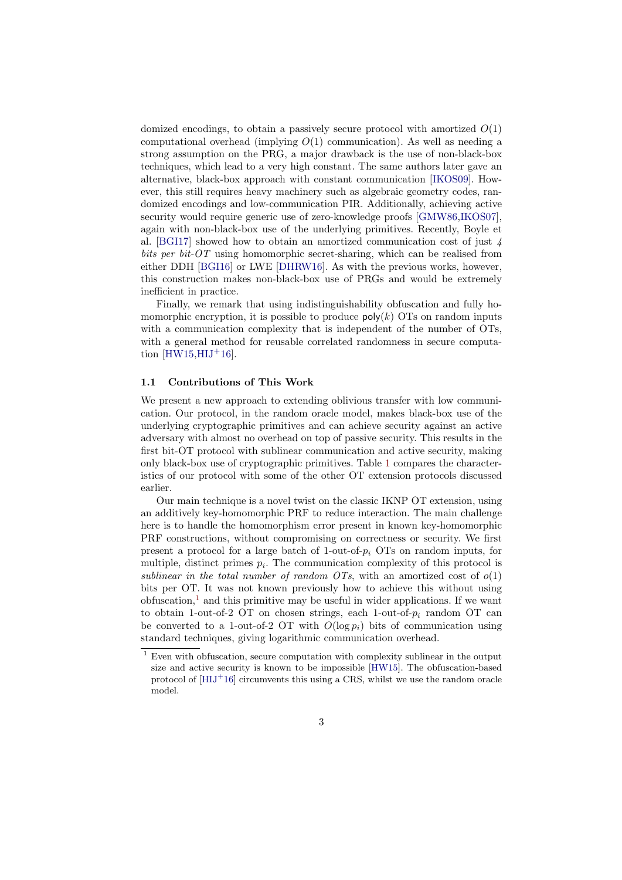domized encodings, to obtain a passively secure protocol with amortized  $O(1)$ computational overhead (implying  $O(1)$  communication). As well as needing a strong assumption on the PRG, a major drawback is the use of non-black-box techniques, which lead to a very high constant. The same authors later gave an alternative, black-box approach with constant communication [\[IKOS09\]](#page-28-10). However, this still requires heavy machinery such as algebraic geometry codes, randomized encodings and low-communication PIR. Additionally, achieving active security would require generic use of zero-knowledge proofs [\[GMW86,](#page-27-2)[IKOS07\]](#page-28-11), again with non-black-box use of the underlying primitives. Recently, Boyle et al. [\[BGI17\]](#page-27-3) showed how to obtain an amortized communication cost of just 4 bits per bit-OT using homomorphic secret-sharing, which can be realised from either DDH [\[BGI16\]](#page-27-4) or LWE [\[DHRW16\]](#page-27-5). As with the previous works, however, this construction makes non-black-box use of PRGs and would be extremely inefficient in practice.

Finally, we remark that using indistinguishability obfuscation and fully homomorphic encryption, it is possible to produce  $\mathsf{poly}(k)$  OTs on random inputs with a communication complexity that is independent of the number of OTs. with a general method for reusable correlated randomness in secure computation  $[HW15,HIJ+16]$  $[HW15,HIJ+16]$  $[HW15,HIJ+16]$ .

#### 1.1 Contributions of This Work

We present a new approach to extending oblivious transfer with low communication. Our protocol, in the random oracle model, makes black-box use of the underlying cryptographic primitives and can achieve security against an active adversary with almost no overhead on top of passive security. This results in the first bit-OT protocol with sublinear communication and active security, making only black-box use of cryptographic primitives. Table [1](#page-3-0) compares the characteristics of our protocol with some of the other OT extension protocols discussed earlier.

Our main technique is a novel twist on the classic IKNP OT extension, using an additively key-homomorphic PRF to reduce interaction. The main challenge here is to handle the homomorphism error present in known key-homomorphic PRF constructions, without compromising on correctness or security. We first present a protocol for a large batch of 1-out-of- $p_i$  OTs on random inputs, for multiple, distinct primes  $p_i$ . The communication complexity of this protocol is sublinear in the total number of random OTs, with an amortized cost of  $o(1)$ bits per OT. It was not known previously how to achieve this without using obfuscation,<sup>[1](#page-2-0)</sup> and this primitive may be useful in wider applications. If we want to obtain 1-out-of-2 OT on chosen strings, each 1-out-of- $p_i$  random OT can be converted to a 1-out-of-2 OT with  $O(\log p_i)$  bits of communication using standard techniques, giving logarithmic communication overhead.

<span id="page-2-0"></span> $^{\rm 1}$  Even with obfuscation, secure computation with complexity sublinear in the output size and active security is known to be impossible [\[HW15\]](#page-28-12). The obfuscation-based protocol of  $[HII]^+16]$  circumvents this using a CRS, whilst we use the random oracle model.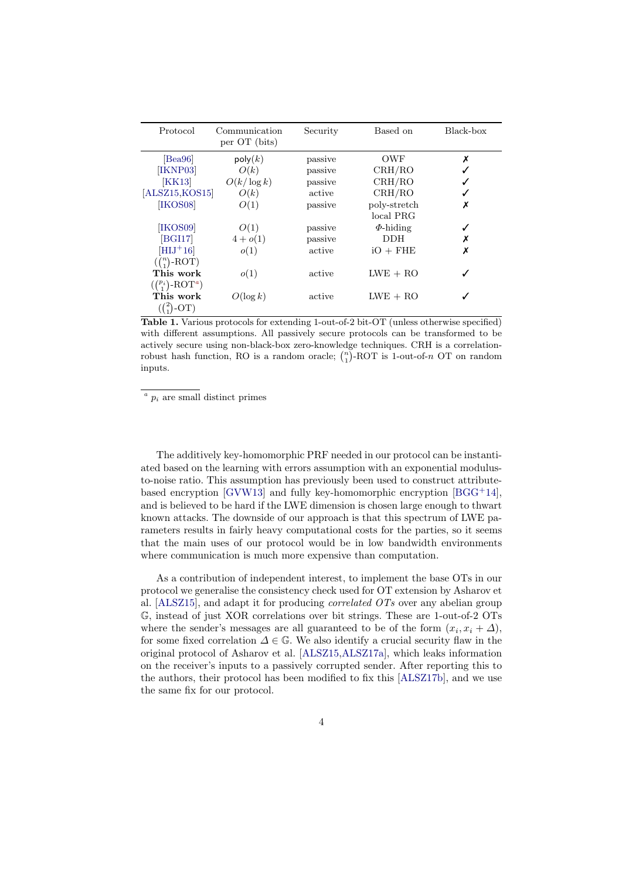| Protocol                                   | Communication<br>per OT (bits) | Security | Based on       | Black-box |
|--------------------------------------------|--------------------------------|----------|----------------|-----------|
| $\vert$ Bea96                              | $\mathsf{poly}(k)$             | passive  | OWF            | Х         |
| [IKNP03]                                   | O(k)                           | passive  | CRH/RO         |           |
| [KK13]                                     | $O(k/\log k)$                  | passive  | CRH/RO         |           |
| [ALSZ15, KOS15]                            | O(k)                           | active   | CRH/RO         |           |
| [IKOS08]                                   | O(1)                           | passive  | poly-stretch   | Х         |
|                                            |                                |          | local PRG      |           |
| [IKOS09]                                   | O(1)                           | passive  | $\Phi$ -hiding |           |
| [BGI17]                                    | $4+o(1)$                       | passive  | <b>DDH</b>     |           |
| $[{\rm H}{\rm I}{\rm J}^+16]$              | o(1)                           | active   | $iO + FHE$     | Х         |
| $\left(\binom{n}{1} - \text{ROT}\right)$   |                                |          |                |           |
| This work                                  | o(1)                           | active   | $LWE + RO$     |           |
| $\left(\binom{p_i}{1}$ -ROT <sup>a</sup> ) |                                |          |                |           |
| This work                                  | $O(\log k)$                    | active   | $LWE + RO$     |           |
|                                            |                                |          |                |           |

<span id="page-3-0"></span>Table 1. Various protocols for extending 1-out-of-2 bit-OT (unless otherwise specified) with different assumptions. All passively secure protocols can be transformed to be actively secure using non-black-box zero-knowledge techniques. CRH is a correlationrobust hash function, RO is a random oracle;  $\binom{n}{1}$ -ROT is 1-out-of-n OT on random inputs.

 $a$   $p_i$  are small distinct primes

The additively key-homomorphic PRF needed in our protocol can be instantiated based on the learning with errors assumption with an exponential modulusto-noise ratio. This assumption has previously been used to construct attribute-based encryption [\[GVW13\]](#page-27-6) and fully key-homomorphic encryption  $[BGG^+14]$  $[BGG^+14]$ , and is believed to be hard if the LWE dimension is chosen large enough to thwart known attacks. The downside of our approach is that this spectrum of LWE parameters results in fairly heavy computational costs for the parties, so it seems that the main uses of our protocol would be in low bandwidth environments where communication is much more expensive than computation.

As a contribution of independent interest, to implement the base OTs in our protocol we generalise the consistency check used for OT extension by Asharov et al. [\[ALSZ15\]](#page-26-1), and adapt it for producing correlated OTs over any abelian group G, instead of just XOR correlations over bit strings. These are 1-out-of-2 OTs where the sender's messages are all guaranteed to be of the form  $(x_i, x_i + \Delta)$ , for some fixed correlation  $\Delta \in \mathbb{G}$ . We also identify a crucial security flaw in the original protocol of Asharov et al. [\[ALSZ15](#page-26-1)[,ALSZ17a\]](#page-26-3), which leaks information on the receiver's inputs to a passively corrupted sender. After reporting this to the authors, their protocol has been modified to fix this [\[ALSZ17b\]](#page-26-4), and we use the same fix for our protocol.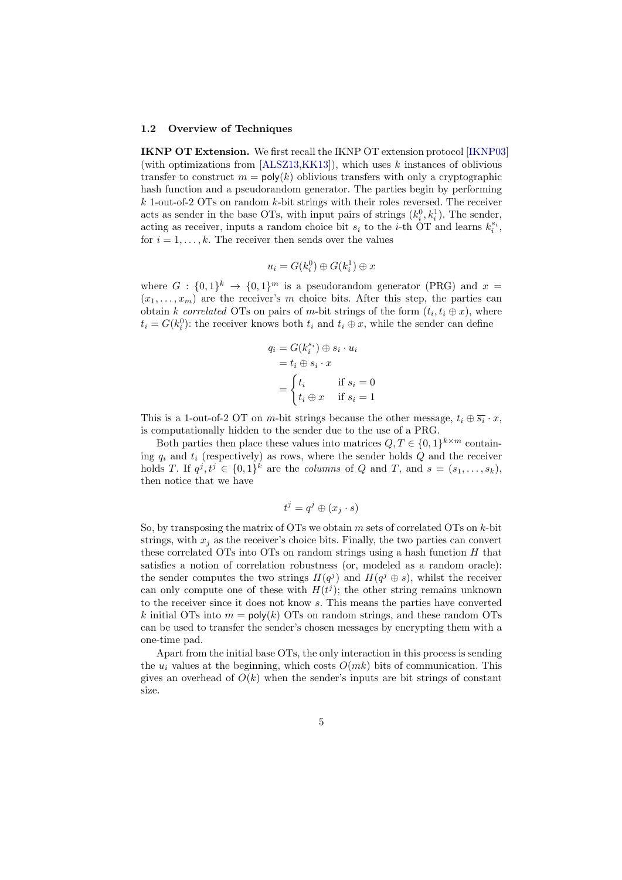#### 1.2 Overview of Techniques

IKNP OT Extension. We first recall the IKNP OT extension protocol [\[IKNP03\]](#page-28-2) (with optimizations from  $[ALSZ13,KK13]$  $[ALSZ13,KK13]$ ), which uses k instances of oblivious transfer to construct  $m = \text{poly}(k)$  oblivious transfers with only a cryptographic hash function and a pseudorandom generator. The parties begin by performing  $k$  1-out-of-2 OTs on random  $k$ -bit strings with their roles reversed. The receiver acts as sender in the base OTs, with input pairs of strings  $(k_i^0, k_i^1)$ . The sender, acting as receiver, inputs a random choice bit  $s_i$  to the *i*-th OT and learns  $k_i^{s_i}$ , for  $i = 1, \ldots, k$ . The receiver then sends over the values

$$
u_i = G(k_i^0) \oplus G(k_i^1) \oplus x
$$

where  $G: \{0,1\}^k \to \{0,1\}^m$  is a pseudorandom generator (PRG) and  $x =$  $(x_1, \ldots, x_m)$  are the receiver's m choice bits. After this step, the parties can obtain k correlated OTs on pairs of m-bit strings of the form  $(t_i, t_i \oplus x)$ , where  $t_i = G(k_i^0)$ : the receiver knows both  $t_i$  and  $t_i \oplus x$ , while the sender can define

$$
q_i = G(k_i^{s_i}) \oplus s_i \cdot u_i
$$
  
=  $t_i \oplus s_i \cdot x$   
= 
$$
\begin{cases} t_i & \text{if } s_i = 0 \\ t_i \oplus x & \text{if } s_i = 1 \end{cases}
$$

This is a 1-out-of-2 OT on m-bit strings because the other message,  $t_i \oplus \overline{s_i} \cdot x$ , is computationally hidden to the sender due to the use of a PRG.

Both parties then place these values into matrices  $Q, T \in \{0,1\}^{k \times m}$  containing  $q_i$  and  $t_i$  (respectively) as rows, where the sender holds Q and the receiver holds T. If  $q^j, t^j \in \{0,1\}^k$  are the *columns* of Q and T, and  $s = (s_1, \ldots, s_k)$ , then notice that we have

$$
t^j = q^j \oplus (x_j \cdot s)
$$

So, by transposing the matrix of OTs we obtain  $m$  sets of correlated OTs on  $k$ -bit strings, with  $x_j$  as the receiver's choice bits. Finally, the two parties can convert these correlated OTs into OTs on random strings using a hash function  $H$  that satisfies a notion of correlation robustness (or, modeled as a random oracle): the sender computes the two strings  $H(q^j)$  and  $H(q^j \oplus s)$ , whilst the receiver can only compute one of these with  $H(t^{j})$ ; the other string remains unknown to the receiver since it does not know s. This means the parties have converted k initial OTs into  $m = poly(k)$  OTs on random strings, and these random OTs can be used to transfer the sender's chosen messages by encrypting them with a one-time pad.

Apart from the initial base OTs, the only interaction in this process is sending the  $u_i$  values at the beginning, which costs  $O(mk)$  bits of communication. This gives an overhead of  $O(k)$  when the sender's inputs are bit strings of constant size.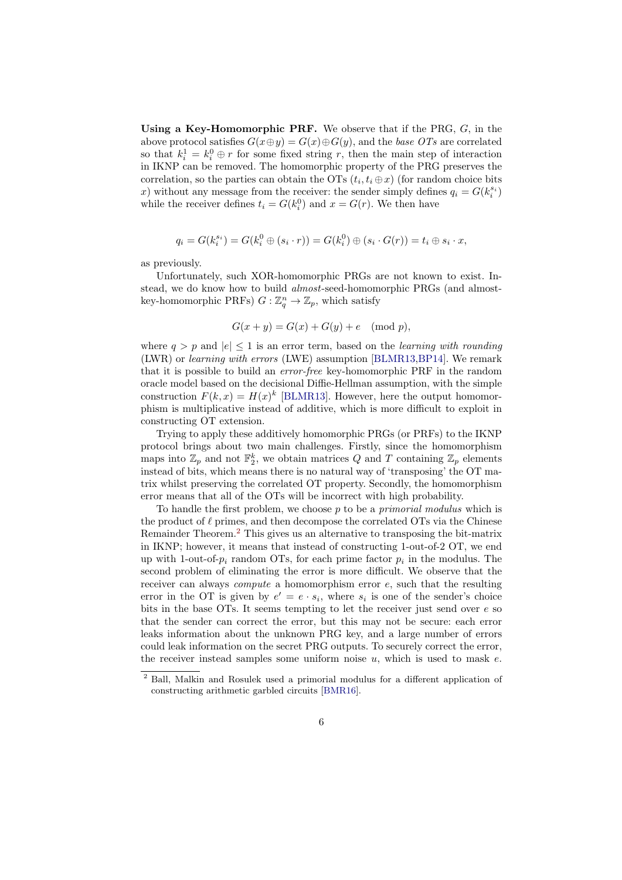Using a Key-Homomorphic PRF. We observe that if the PRG,  $G$ , in the above protocol satisfies  $G(x \oplus y) = G(x) \oplus G(y)$ , and the base OTs are correlated so that  $k_i^1 = k_i^0 \oplus r$  for some fixed string r, then the main step of interaction in IKNP can be removed. The homomorphic property of the PRG preserves the correlation, so the parties can obtain the OTs  $(t_i, t_i \oplus x)$  (for random choice bits x) without any message from the receiver: the sender simply defines  $q_i = G(k_i^{s_i})$ while the receiver defines  $t_i = G(k_i^0)$  and  $x = G(r)$ . We then have

$$
q_i = G(k_i^{s_i}) = G(k_i^0 \oplus (s_i \cdot r)) = G(k_i^0) \oplus (s_i \cdot G(r)) = t_i \oplus s_i \cdot x,
$$

as previously.

Unfortunately, such XOR-homomorphic PRGs are not known to exist. Instead, we do know how to build almost-seed-homomorphic PRGs (and almostkey-homomorphic PRFs)  $G: \mathbb{Z}_q^n \to \mathbb{Z}_p$ , which satisfy

$$
G(x+y) = G(x) + G(y) + e \pmod{p},
$$

where  $q > p$  and  $|e| \leq 1$  is an error term, based on the *learning with rounding* (LWR) or learning with errors (LWE) assumption [\[BLMR13,](#page-27-7)[BP14\]](#page-27-8). We remark that it is possible to build an error-free key-homomorphic PRF in the random oracle model based on the decisional Diffie-Hellman assumption, with the simple construction  $F(k, x) = H(x)^k$  [\[BLMR13\]](#page-27-7). However, here the output homomorphism is multiplicative instead of additive, which is more difficult to exploit in constructing OT extension.

Trying to apply these additively homomorphic PRGs (or PRFs) to the IKNP protocol brings about two main challenges. Firstly, since the homomorphism maps into  $\mathbb{Z}_p$  and not  $\mathbb{F}_2^k$ , we obtain matrices Q and T containing  $\mathbb{Z}_p$  elements instead of bits, which means there is no natural way of 'transposing' the OT matrix whilst preserving the correlated OT property. Secondly, the homomorphism error means that all of the OTs will be incorrect with high probability.

To handle the first problem, we choose  $p$  to be a *primorial modulus* which is the product of  $\ell$  primes, and then decompose the correlated OTs via the Chinese Remainder Theorem.<sup>[2](#page-5-0)</sup> This gives us an alternative to transposing the bit-matrix in IKNP; however, it means that instead of constructing 1-out-of-2 OT, we end up with 1-out-of- $p_i$  random OTs, for each prime factor  $p_i$  in the modulus. The second problem of eliminating the error is more difficult. We observe that the receiver can always *compute* a homomorphism error e, such that the resulting error in the OT is given by  $e' = e \cdot s_i$ , where  $s_i$  is one of the sender's choice bits in the base OTs. It seems tempting to let the receiver just send over  $e$  so that the sender can correct the error, but this may not be secure: each error leaks information about the unknown PRG key, and a large number of errors could leak information on the secret PRG outputs. To securely correct the error, the receiver instead samples some uniform noise  $u$ , which is used to mask  $e$ .

<span id="page-5-0"></span><sup>2</sup> Ball, Malkin and Rosulek used a primorial modulus for a different application of constructing arithmetic garbled circuits [\[BMR16\]](#page-27-9).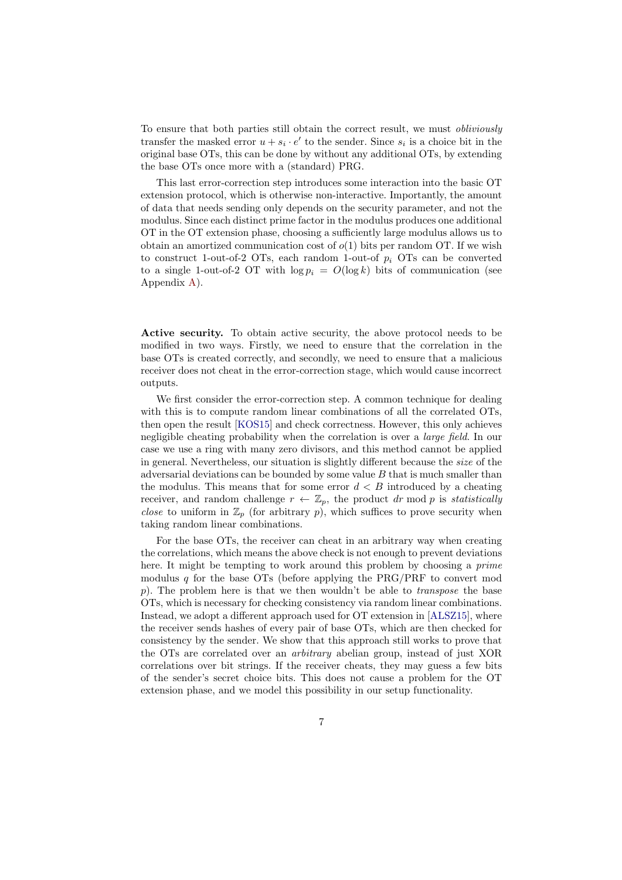To ensure that both parties still obtain the correct result, we must obliviously transfer the masked error  $u + s_i \cdot e'$  to the sender. Since  $s_i$  is a choice bit in the original base OTs, this can be done by without any additional OTs, by extending the base OTs once more with a (standard) PRG.

This last error-correction step introduces some interaction into the basic OT extension protocol, which is otherwise non-interactive. Importantly, the amount of data that needs sending only depends on the security parameter, and not the modulus. Since each distinct prime factor in the modulus produces one additional OT in the OT extension phase, choosing a sufficiently large modulus allows us to obtain an amortized communication cost of  $o(1)$  bits per random OT. If we wish to construct 1-out-of-2 OTs, each random 1-out-of  $p_i$  OTs can be converted to a single 1-out-of-2 OT with  $\log p_i = O(\log k)$  bits of communication (see Appendix [A\)](#page-25-0).

Active security. To obtain active security, the above protocol needs to be modified in two ways. Firstly, we need to ensure that the correlation in the base OTs is created correctly, and secondly, we need to ensure that a malicious receiver does not cheat in the error-correction stage, which would cause incorrect outputs.

We first consider the error-correction step. A common technique for dealing with this is to compute random linear combinations of all the correlated OTs, then open the result [\[KOS15\]](#page-28-5) and check correctness. However, this only achieves negligible cheating probability when the correlation is over a large field. In our case we use a ring with many zero divisors, and this method cannot be applied in general. Nevertheless, our situation is slightly different because the size of the adversarial deviations can be bounded by some value  $B$  that is much smaller than the modulus. This means that for some error  $d < B$  introduced by a cheating receiver, and random challenge  $r \leftarrow \mathbb{Z}_p$ , the product dr mod p is statistically *close* to uniform in  $\mathbb{Z}_p$  (for arbitrary p), which suffices to prove security when taking random linear combinations.

For the base OTs, the receiver can cheat in an arbitrary way when creating the correlations, which means the above check is not enough to prevent deviations here. It might be tempting to work around this problem by choosing a *prime* modulus q for the base  $\overline{OTs}$  (before applying the PRG/PRF to convert mod p). The problem here is that we then wouldn't be able to *transpose* the base OTs, which is necessary for checking consistency via random linear combinations. Instead, we adopt a different approach used for OT extension in [\[ALSZ15\]](#page-26-1), where the receiver sends hashes of every pair of base OTs, which are then checked for consistency by the sender. We show that this approach still works to prove that the OTs are correlated over an arbitrary abelian group, instead of just XOR correlations over bit strings. If the receiver cheats, they may guess a few bits of the sender's secret choice bits. This does not cause a problem for the OT extension phase, and we model this possibility in our setup functionality.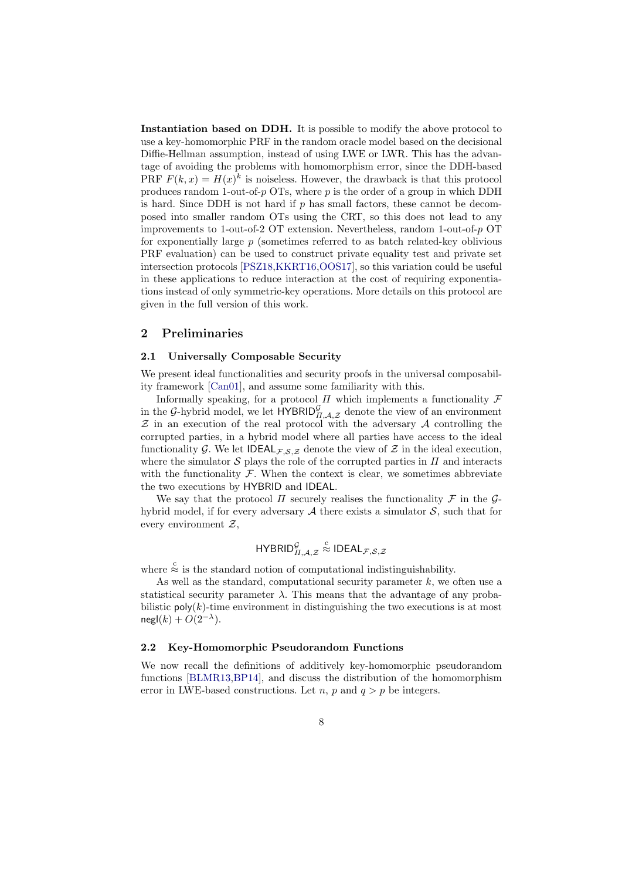Instantiation based on DDH. It is possible to modify the above protocol to use a key-homomorphic PRF in the random oracle model based on the decisional Diffie-Hellman assumption, instead of using LWE or LWR. This has the advantage of avoiding the problems with homomorphism error, since the DDH-based PRF  $F(k, x) = H(x)^k$  is noiseless. However, the drawback is that this protocol produces random 1-out-of-p  $\overline{OTs}$ , where p is the order of a group in which DDH is hard. Since DDH is not hard if  $p$  has small factors, these cannot be decomposed into smaller random OTs using the CRT, so this does not lead to any improvements to 1-out-of-2 OT extension. Nevertheless, random 1-out-of-p OT for exponentially large  $p$  (sometimes referred to as batch related-key oblivious PRF evaluation) can be used to construct private equality test and private set intersection protocols [\[PSZ18,](#page-29-2)[KKRT16,](#page-28-14)[OOS17\]](#page-28-6), so this variation could be useful in these applications to reduce interaction at the cost of requiring exponentiations instead of only symmetric-key operations. More details on this protocol are given in the full version of this work.

## <span id="page-7-1"></span>2 Preliminaries

### 2.1 Universally Composable Security

We present ideal functionalities and security proofs in the universal composability framework [\[Can01\]](#page-27-10), and assume some familiarity with this.

Informally speaking, for a protocol  $\Pi$  which implements a functionality  $\mathcal F$ in the G-hybrid model, we let  $HYBRID_{\Pi,A,\mathcal{Z}}^{\mathcal{G}}$  denote the view of an environment  $Z$  in an execution of the real protocol with the adversary  $A$  controlling the corrupted parties, in a hybrid model where all parties have access to the ideal functionality G. We let  $\mathsf{IDEAL}_{\mathcal{F},\mathcal{S},\mathcal{Z}}$  denote the view of  $\mathcal Z$  in the ideal execution, where the simulator  $S$  plays the role of the corrupted parties in  $\Pi$  and interacts with the functionality  $\mathcal F$ . When the context is clear, we sometimes abbreviate the two executions by HYBRID and IDEAL.

We say that the protocol  $\Pi$  securely realises the functionality  $\mathcal F$  in the  $\mathcal G$ hybrid model, if for every adversary  $A$  there exists a simulator  $S$ , such that for every environment  $Z$ ,

$$
\mathsf{HYBRID}_{\Pi,\mathcal{A},\mathcal{Z}}^{\mathcal{G}} \stackrel{\mathcal{C}}{\approx} \mathsf{IDEAL}_{\mathcal{F},\mathcal{S},\mathcal{Z}}
$$

where  $\stackrel{c}{\approx}$  is the standard notion of computational indistinguishability.

As well as the standard, computational security parameter  $k$ , we often use a statistical security parameter  $\lambda$ . This means that the advantage of any probabilistic  $poly(k)$ -time environment in distinguishing the two executions is at most  $\mathsf{negl}(k) + O(2^{-\lambda}).$ 

### 2.2 Key-Homomorphic Pseudorandom Functions

<span id="page-7-0"></span>We now recall the definitions of additively key-homomorphic pseudorandom functions [\[BLMR13,](#page-27-7)[BP14\]](#page-27-8), and discuss the distribution of the homomorphism error in LWE-based constructions. Let  $n$ ,  $p$  and  $q > p$  be integers.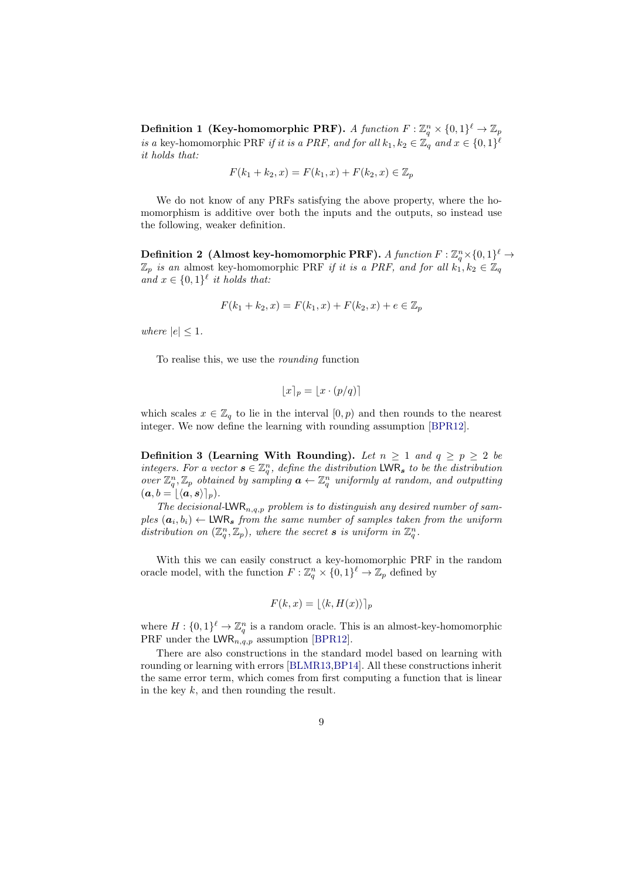Definition 1 (Key-homomorphic PRF). A function  $F: \mathbb{Z}_q^n \times \{0,1\}^{\ell} \to \mathbb{Z}_p$ is a key-homomorphic PRF if it is a PRF, and for all  $k_1, k_2 \in \mathbb{Z}_q$  and  $x \in \{0,1\}^{\ell}$ it holds that:

$$
F(k_1 + k_2, x) = F(k_1, x) + F(k_2, x) \in \mathbb{Z}_p
$$

We do not know of any PRFs satisfying the above property, where the homomorphism is additive over both the inputs and the outputs, so instead use the following, weaker definition.

Definition 2 (Almost key-homomorphic PRF). A function  $F: \mathbb{Z}_q^n\times\{0,1\}^\ell \to$  $\mathbb{Z}_p$  is an almost key-homomorphic PRF if it is a PRF, and for all  $k_1, k_2 \in \mathbb{Z}_q$ and  $x \in \{0,1\}^{\ell}$  it holds that:

$$
F(k_1 + k_2, x) = F(k_1, x) + F(k_2, x) + e \in \mathbb{Z}_p
$$

where  $|e| \leq 1$ .

To realise this, we use the rounding function

$$
\lfloor x \rceil_p = \lfloor x \cdot (p/q) \rceil
$$

which scales  $x \in \mathbb{Z}_q$  to lie in the interval  $[0, p)$  and then rounds to the nearest integer. We now define the learning with rounding assumption [\[BPR12\]](#page-27-11).

Definition 3 (Learning With Rounding). Let  $n \geq 1$  and  $q \geq p \geq 2$  be integers. For a vector  $s \in \mathbb{Z}_q^n$ , define the distribution LWR<sub>s</sub> to be the distribution over  $\mathbb{Z}_q^n, \mathbb{Z}_p$  obtained by sampling  $\boldsymbol{a} \leftarrow \mathbb{Z}_q^n$  uniformly at random, and outputting  $(a, b = [\langle a, s \rangle]_p).$ 

The decisional-LWR<sub>n,q,p</sub> problem is to distinguish any desired number of sam $ples\;({\bf a}_i,b_i) \leftarrow \textsf{LWR}_{\bm{s}}\; \textit{from the same number of samples taken from the uniform}$ distribution on  $(\mathbb{Z}_q^n, \mathbb{Z}_p)$ , where the secret **s** is uniform in  $\mathbb{Z}_q^n$ .

With this we can easily construct a key-homomorphic PRF in the random oracle model, with the function  $F: \mathbb{Z}_q^n \times \{0,1\}^{\ell} \to \mathbb{Z}_p$  defined by

$$
F(k, x) = \lfloor \langle k, H(x) \rangle \rfloor_p
$$

where  $H: \{0,1\}^{\ell} \to \mathbb{Z}_q^n$  is a random oracle. This is an almost-key-homomorphic PRF under the  $LWR_{n,q,p}$  assumption [\[BPR12\]](#page-27-11).

There are also constructions in the standard model based on learning with rounding or learning with errors [\[BLMR13,](#page-27-7)[BP14\]](#page-27-8). All these constructions inherit the same error term, which comes from first computing a function that is linear in the key  $k$ , and then rounding the result.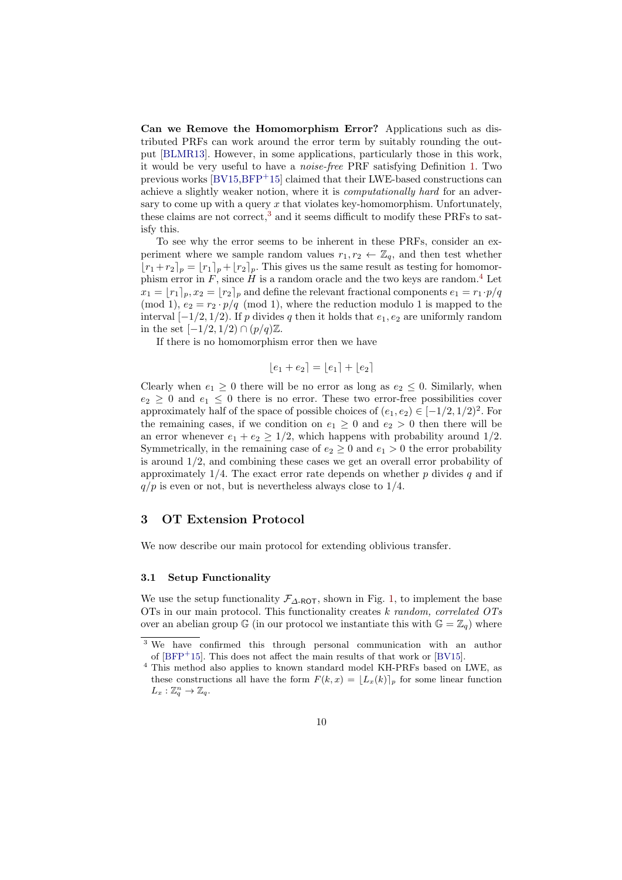Can we Remove the Homomorphism Error? Applications such as distributed PRFs can work around the error term by suitably rounding the output [\[BLMR13\]](#page-27-7). However, in some applications, particularly those in this work, it would be very useful to have a noise-free PRF satisfying Definition [1.](#page-7-0) Two previous works  $[BV15,BFP+15]$  $[BV15,BFP+15]$  $[BV15,BFP+15]$  claimed that their LWE-based constructions can achieve a slightly weaker notion, where it is computationally hard for an adversary to come up with a query  $x$  that violates key-homomorphism. Unfortunately, these claims are not correct,<sup>[3](#page-9-0)</sup> and it seems difficult to modify these PRFs to satisfy this.

To see why the error seems to be inherent in these PRFs, consider an experiment where we sample random values  $r_1, r_2 \leftarrow \mathbb{Z}_q$ , and then test whether  $\lfloor r_1+r_2 \rfloor_p = \lfloor r_1 \rfloor_p + \lfloor r_2 \rfloor_p$ . This gives us the same result as testing for homomorphism error in  $F$ , since  $H$  is a random oracle and the two keys are random.<sup>[4](#page-9-1)</sup> Let  $x_1 = [r_1]_p, x_2 = [r_2]_p$  and define the relevant fractional components  $e_1 = r_1 \cdot p/q$ (mod 1),  $e_2 = r_2 \cdot p/q$  (mod 1), where the reduction modulo 1 is mapped to the interval  $[-1/2, 1/2)$ . If p divides q then it holds that  $e_1, e_2$  are uniformly random in the set  $[-1/2, 1/2) \cap (p/q)\mathbb{Z}$ .

If there is no homomorphism error then we have

$$
[e_1 + e_2] = [e_1] + [e_2]
$$

Clearly when  $e_1 > 0$  there will be no error as long as  $e_2 \leq 0$ . Similarly, when  $e_2 \geq 0$  and  $e_1 \leq 0$  there is no error. These two error-free possibilities cover approximately half of the space of possible choices of  $(e_1, e_2) \in [-1/2, 1/2)^2$ . For the remaining cases, if we condition on  $e_1 \geq 0$  and  $e_2 > 0$  then there will be an error whenever  $e_1 + e_2 \geq 1/2$ , which happens with probability around  $1/2$ . Symmetrically, in the remaining case of  $e_2 \geq 0$  and  $e_1 > 0$  the error probability is around 1/2, and combining these cases we get an overall error probability of approximately  $1/4$ . The exact error rate depends on whether p divides q and if  $q/p$  is even or not, but is nevertheless always close to 1/4.

## <span id="page-9-2"></span>3 OT Extension Protocol

We now describe our main protocol for extending oblivious transfer.

### 3.1 Setup Functionality

We use the setup functionality  $\mathcal{F}_{\Delta-\text{ROT}}$ , shown in Fig. [1,](#page-10-0) to implement the base OTs in our main protocol. This functionality creates k random, correlated OTs over an abelian group G (in our protocol we instantiate this with  $\mathbb{G} = \mathbb{Z}_q$ ) where

<span id="page-9-0"></span><sup>3</sup> We have confirmed this through personal communication with an author of  $[BFP<sup>+</sup>15]$  $[BFP<sup>+</sup>15]$ . This does not affect the main results of that work or  $[BV15]$ .

<span id="page-9-1"></span> $^4$  This method also applies to known standard model KH-PRFs based on LWE, as these constructions all have the form  $F(k, x) = [L_x(k)]_p$  for some linear function  $L_x: \mathbb{Z}_q^n \to \mathbb{Z}_q.$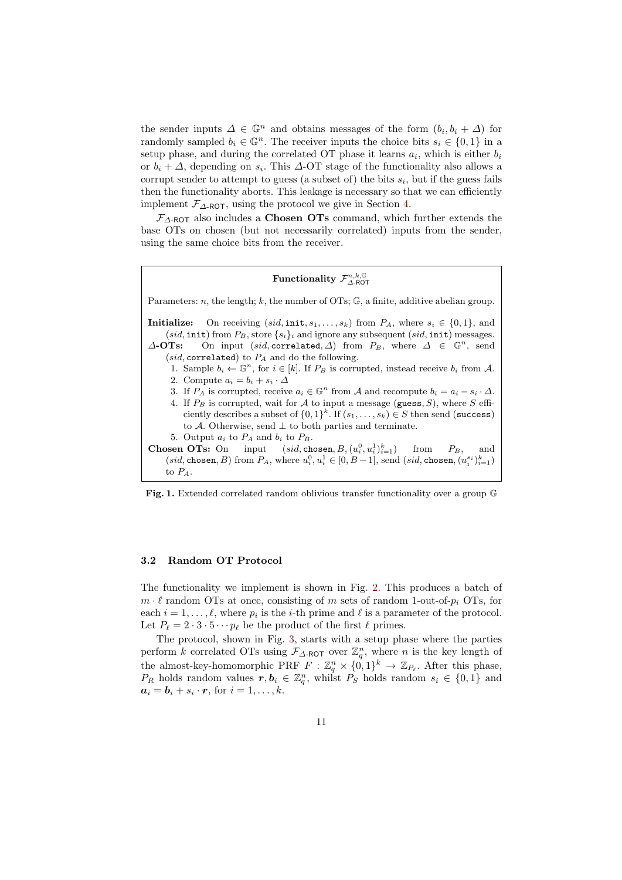the sender inputs  $\Delta \in \mathbb{G}^n$  and obtains messages of the form  $(b_i, b_i + \Delta)$  for randomly sampled  $b_i \in \mathbb{G}^n$ . The receiver inputs the choice bits  $s_i \in \{0,1\}$  in a setup phase, and during the correlated OT phase it learns  $a_i$ , which is either  $b_i$ or  $b_i + \Delta$ , depending on  $s_i$ . This  $\Delta$ -OT stage of the functionality also allows a corrupt sender to attempt to guess (a subset of) the bits  $s_i$ , but if the guess fails then the functionality aborts. This leakage is necessary so that we can efficiently implement  $\mathcal{F}_{\Delta-\text{ROT}}$ , using the protocol we give in Section [4.](#page-19-0)

 $\mathcal{F}_{\Delta\text{-ROT}}$  also includes a **Chosen OTs** command, which further extends the base OTs on chosen (but not necessarily correlated) inputs from the sender, using the same choice bits from the receiver.

# Functionality  $\mathcal{F}^{n,k,\mathbb{G}}_{\Delta\text{-ROT}}$

Parameters:  $n$ , the length;  $k$ , the number of OTs;  $\mathbb{G}$ , a finite, additive abelian group. Initialize: On receiving  $(sid, \text{init}, s_1, \ldots, s_k)$  from  $P_A$ , where  $s_i \in \{0, 1\}$ , and (sid, init) from  $P_B$ , store  $\{s_i\}_i$  and ignore any subsequent (sid, init) messages.  $\Delta$ -OTs: On input (sid, correlated,  $\Delta$ ) from  $P_B$ , where  $\Delta \in \mathbb{G}^n$ , send (sid, correlated) to  $P_A$  and do the following. 1. Sample  $b_i \leftarrow \mathbb{G}^n$ , for  $i \in [k]$ . If  $P_B$  is corrupted, instead receive  $b_i$  from A. 2. Compute  $a_i = b_i + s_i \cdot \Delta$ 3. If  $P_A$  is corrupted, receive  $a_i \in \mathbb{G}^n$  from A and recompute  $b_i = a_i - s_i \cdot \Delta$ . 4. If  $P_B$  is corrupted, wait for A to input a message (guess, S), where S efficiently describes a subset of  $\{0,1\}^k$ . If  $(s_1,\ldots,s_k) \in S$  then send (success) to A. Otherwise, send  $\perp$  to both parties and terminate. 5. Output  $a_i$  to  $P_A$  and  $b_i$  to  $P_B$ . Chosen OTs: On input  $P_B^0, u_i^1 \}_{i=1}^k$  from  $P_B$ , and  $(id, \text{chosen}, B)$  from  $P_A$ , where  $u_i^0, u_i^1 \in [0, B-1]$ , send  $(sid, \text{chosen}, (u_i^{s_i})_{i=1}^k)$ to PA.

<span id="page-10-0"></span>Fig. 1. Extended correlated random oblivious transfer functionality over a group G

### 3.2 Random OT Protocol

The functionality we implement is shown in Fig. [2.](#page-11-0) This produces a batch of  $m \cdot \ell$  random OTs at once, consisting of m sets of random 1-out-of- $p_i$  OTs, for each  $i = 1, \ldots, \ell$ , where  $p_i$  is the *i*-th prime and  $\ell$  is a parameter of the protocol. Let  $P_\ell = 2 \cdot 3 \cdot 5 \cdots p_\ell$  be the product of the first  $\ell$  primes.

The protocol, shown in Fig. [3,](#page-12-0) starts with a setup phase where the parties perform k correlated OTs using  $\mathcal{F}_{\Delta\text{-ROT}}$  over  $\mathbb{Z}_q^n$ , where n is the key length of the almost-key-homomorphic PRF  $F: \mathbb{Z}_q^n \times \{0,1\}^k \to \mathbb{Z}_{P_\ell}$ . After this phase,  $P_R$  holds random values  $r, b_i \in \mathbb{Z}_q^n$ , whilst  $P_S$  holds random  $s_i \in \{0,1\}$  and  $a_i = b_i + s_i \cdot r$ , for  $i = 1, \ldots, k$ .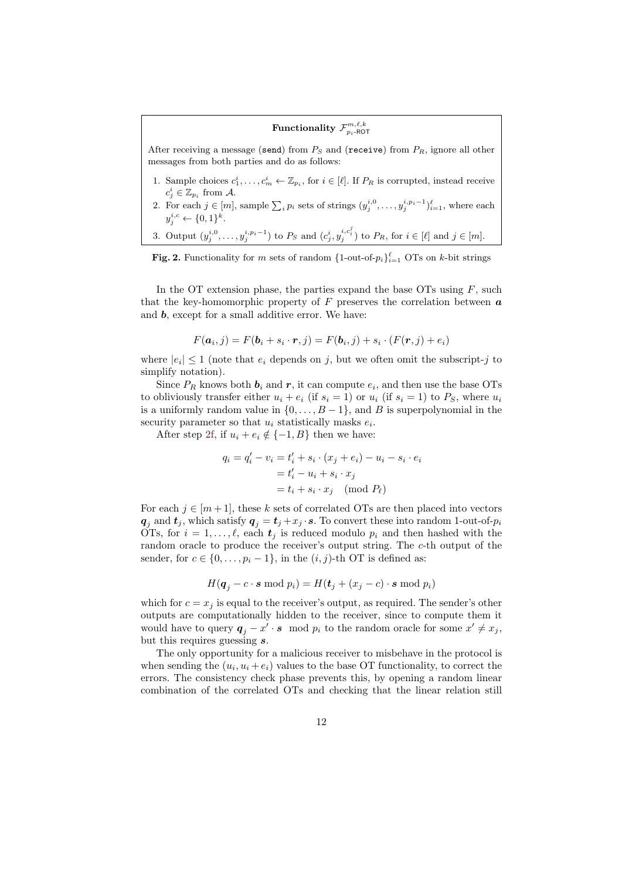# $\operatorname{Functionality}\,\mathcal{F}^{m,\ell,k}_{p_i\text{-ROT}}$

After receiving a message (send) from  $P_S$  and (receive) from  $P_R$ , ignore all other messages from both parties and do as follows:

- 1. Sample choices  $c_1^i, \ldots, c_m^i \leftarrow \mathbb{Z}_{p_i}$ , for  $i \in [\ell]$ . If  $P_R$  is corrupted, instead receive  $c_i^i \in \mathbb{Z}_{p_i}$  from A.  $j \in \mathbb{Z}_{p_i}$
- 2. For each  $j \in [m]$ , sample  $\sum_i p_i$  sets of strings  $(y_j^{i,0}, \ldots, y_j^{i,p_i-1})_{i=1}^{\ell}$ , where each  $y_j^{i,c} \leftarrow \{0,1\}^k.$
- 3. Output  $(y_j^{i,0}, \ldots, y_j^{i,p_i-1})$  to  $P_S$  and  $(c_j^i, y_j^{i,c_i^j})$  to  $P_R$ , for  $i \in [\ell]$  and  $j \in [m]$ .

<span id="page-11-0"></span>**Fig. 2.** Functionality for m sets of random  $\{1\text{-out-of-}p_i\}_{i=1}^{\ell}$  OTs on k-bit strings

In the OT extension phase, the parties expand the base OTs using  $F$ , such that the key-homomorphic property of  $F$  preserves the correlation between  $\boldsymbol{a}$ and **, except for a small additive error. We have:** 

$$
F(\boldsymbol{a}_i, j) = F(\boldsymbol{b}_i + s_i \cdot \boldsymbol{r}, j) = F(\boldsymbol{b}_i, j) + s_i \cdot (F(\boldsymbol{r}, j) + e_i)
$$

where  $|e_i| \leq 1$  (note that  $e_i$  depends on j, but we often omit the subscript-j to simplify notation).

Since  $P_R$  knows both  $b_i$  and  $r$ , it can compute  $e_i$ , and then use the base OTs to obliviously transfer either  $u_i + e_i$  (if  $s_i = 1$ ) or  $u_i$  (if  $s_i = 1$ ) to  $P_S$ , where  $u_i$ is a uniformly random value in  $\{0, \ldots, B-1\}$ , and B is superpolynomial in the security parameter so that  $u_i$  statistically masks  $e_i$ .

After step [2f,](#page-12-1) if  $u_i + e_i \notin \{-1, B\}$  then we have:

$$
q_i = q'_i - v_i = t'_i + s_i \cdot (x_j + e_i) - u_i - s_i \cdot e_i
$$

$$
= t'_i - u_i + s_i \cdot x_j
$$

$$
= t_i + s_i \cdot x_j \pmod{P_\ell}
$$

For each  $j \in [m+1]$ , these k sets of correlated OTs are then placed into vectors  $q_j$  and  $t_j$ , which satisfy  $q_j = t_j + x_j \cdot s$ . To convert these into random 1-out-of- $p_i$ OTs, for  $i = 1, \ldots, \ell$ , each  $t_j$  is reduced modulo  $p_i$  and then hashed with the random oracle to produce the receiver's output string. The c-th output of the sender, for  $c \in \{0, \ldots, p_i - 1\}$ , in the  $(i, j)$ -th OT is defined as:

$$
H(\boldsymbol{q}_j - c \cdot \boldsymbol{s} \bmod p_i) = H(\boldsymbol{t}_j + (x_j - c) \cdot \boldsymbol{s} \bmod p_i)
$$

which for  $c = x_j$  is equal to the receiver's output, as required. The sender's other outputs are computationally hidden to the receiver, since to compute them it would have to query  $q_j - x' \cdot s \mod p_i$  to the random oracle for some  $x' \neq x_j$ , but this requires guessing s.

The only opportunity for a malicious receiver to misbehave in the protocol is when sending the  $(u_i, u_i + e_i)$  values to the base OT functionality, to correct the errors. The consistency check phase prevents this, by opening a random linear combination of the correlated OTs and checking that the linear relation still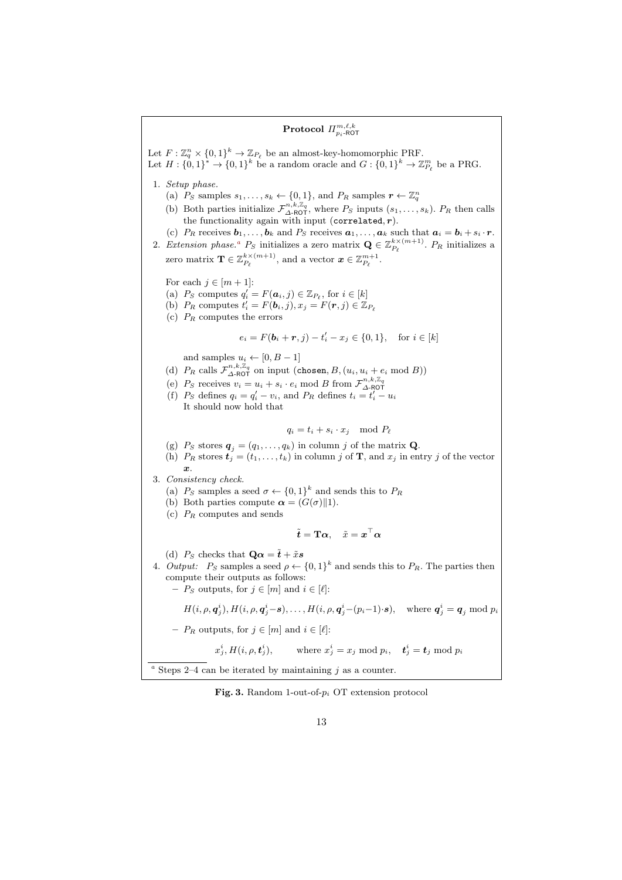# <span id="page-12-1"></span> $\mathrm{Protocol}\,\, \varPi^{m,\ell,k}_{p_i\text{-ROT}}$ Let  $F: \mathbb{Z}_q^n \times \{0,1\}^k \to \mathbb{Z}_{P_\ell}$  be an almost-key-homomorphic PRF. Let  $H: \{0,1\}^* \to \{0,1\}^k$  be a random oracle and  $G: \{0,1\}^k \to \mathbb{Z}_{P_\ell}^m$  be a PRG. 1. Setup phase. (a)  $P_S$  samples  $s_1, \ldots, s_k \leftarrow \{0, 1\}$ , and  $P_R$  samples  $r \leftarrow \mathbb{Z}_q^n$ (b) Both parties initialize  $\mathcal{F}_{\Delta-\text{ROT}}^{n,k,\mathbb{Z}_q}$ , where  $P_S$  inputs  $(s_1,\ldots,s_k)$ .  $P_R$  then calls the functionality again with input (correlated,  $r$ ). (c)  $P_R$  receives  $\mathbf{b}_1, \ldots, \mathbf{b}_k$  and  $P_S$  receives  $\mathbf{a}_1, \ldots, \mathbf{a}_k$  such that  $\mathbf{a}_i = \mathbf{b}_i + s_i \cdot \mathbf{r}$ . 2. Extension ph[a](#page-12-2)se.<sup>*a*</sup>  $P_S$  initializes a zero matrix  $\mathbf{Q} \in \mathbb{Z}_{P_\ell}^{k \times (m+1)}$ .  $P_R$  initializes a zero matrix  $\mathbf{T} \in \mathbb{Z}_{P_\ell}^{k \times (m+1)}$ , and a vector  $\boldsymbol{x} \in \mathbb{Z}_{P_\ell}^{m+1}$ . For each  $j \in [m+1]$ : (a)  $P_S$  computes  $q'_i = F(\boldsymbol{a}_i, j) \in \mathbb{Z}_{P_\ell}$ , for  $i \in [k]$ (b)  $P_R$  computes  $t'_i = F(\mathbf{b}_i, j), x_j = F(\mathbf{r}, j) \in \mathbb{Z}_{P_\ell}$ (c)  $P_R$  computes the errors  $e_i = F(\mathbf{b}_i + \mathbf{r}, j) - t'_i - x_j \in \{0, 1\}, \text{ for } i \in [k]$ and samples  $u_i \leftarrow [0, B - 1]$ (d)  $P_R$  calls  $\mathcal{F}_{\Delta\text{-ROT}}^{n,k,\mathbb{Z}_q}$  on input (chosen,  $B,(u_i,u_i+e_i \bmod B))$ (e)  $P_S$  receives  $v_i = u_i + s_i \cdot e_i \mod B$  from  $\mathcal{F}_{\Delta\text{-ROT}}^{n,k,\mathbb{Z}_q}$ (f)  $P_S$  defines  $q_i = q'_i - v_i$ , and  $P_R$  defines  $t_i = t'_i - u_i$ It should now hold that  $q_i = t_i + s_i \cdot x_j \mod P_\ell$ (g)  $P_S$  stores  $\mathbf{q}_j = (q_1, \ldots, q_k)$  in column j of the matrix **Q**. (h)  $P_R$  stores  $t_j = (t_1, \ldots, t_k)$  in column j of **T**, and  $x_j$  in entry j of the vector  $\boldsymbol{x}$ . 3. Consistency check. (a)  $P_S$  samples a seed  $\sigma \leftarrow \{0,1\}^k$  and sends this to  $P_R$ (b) Both parties compute  $\alpha = (G(\sigma) \| 1)$ . (c)  $P_R$  computes and sends  $\tilde{\boldsymbol{t}} = \mathbf{T}\boldsymbol{\alpha}, \quad \tilde{x} = \boldsymbol{x}^\top \boldsymbol{\alpha}$ (d)  $P_S$  checks that  $\mathbf{Q}\alpha = \tilde{\boldsymbol{t}} + \tilde{x}\boldsymbol{s}$ 4. Output:  $P_S$  samples a seed  $\rho \leftarrow \{0,1\}^k$  and sends this to  $P_R$ . The parties then compute their outputs as follows: –  $P_S$  outputs, for  $j \in [m]$  and  $i \in [\ell]$ :  $H(i, \rho, \mathbf{q}_j^i), H(i, \rho, \mathbf{q}_j^i - \mathbf{s}), \dots, H(i, \rho, \mathbf{q}_j^i - (p_i - 1) \cdot \mathbf{s}), \text{ where } \mathbf{q}_j^i = \mathbf{q}_j \text{ mod } p_i$ –  $P_R$  outputs, for  $j \in [m]$  and  $i \in [\ell]:$  $x_j^i, H(i,\rho,\boldsymbol{t}_j^i$  $j^{i}_{j}), \text{ where } x^{i}_{j} = x_{j} \text{ mod } p_{i}, \quad \boldsymbol{t}^{i}_{j} = \boldsymbol{t}_{j} \text{ mod } p_{i}$ <sup>a</sup> Steps 2–4 can be iterated by maintaining  $j$  as a counter.

### <span id="page-12-2"></span><span id="page-12-0"></span>Fig. 3. Random 1-out-of- $p_i$  OT extension protocol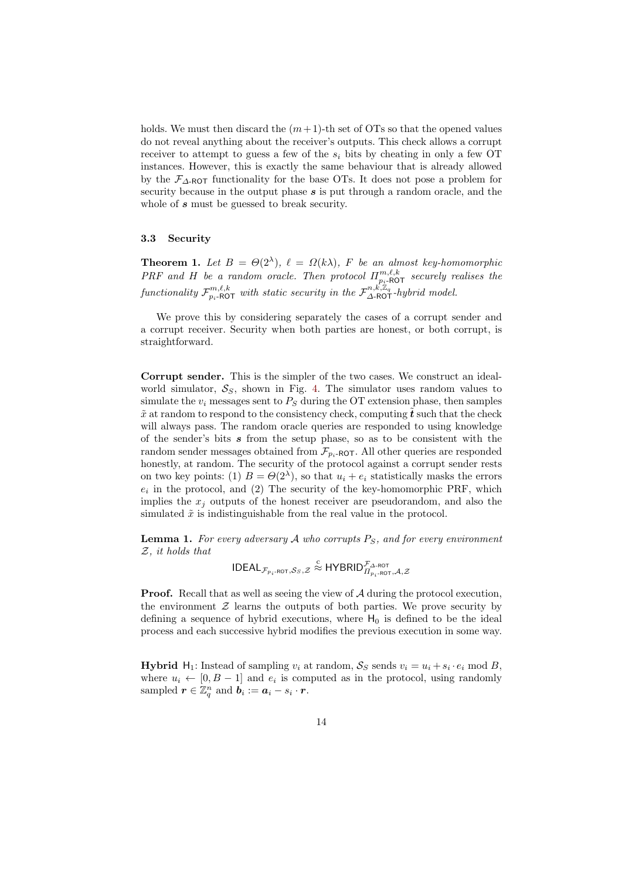holds. We must then discard the  $(m+1)$ -th set of OTs so that the opened values do not reveal anything about the receiver's outputs. This check allows a corrupt receiver to attempt to guess a few of the  $s_i$  bits by cheating in only a few OT instances. However, this is exactly the same behaviour that is already allowed by the  $\mathcal{F}_{\Delta\text{-ROT}}$  functionality for the base OTs. It does not pose a problem for security because in the output phase  $s$  is put through a random oracle, and the whole of s must be guessed to break security.

### 3.3 Security

**Theorem 1.** Let  $B = \Theta(2^{\lambda})$ ,  $\ell = \Omega(k\lambda)$ , F be an almost key-homomorphic PRF and H be a random oracle. Then protocol  $\Pi_{p_i\text{-}\mathsf{ROT}}^{m,\ell,k}$  securely realises the functionality  $\mathcal{F}^{m,\ell,k}_{p_i\text{-ROT}}$  with static security in the  $\mathcal{F}^{n,\vec{k},\mathbb{Z}_q}_{\Delta\text{-ROT}}$ -hybrid model.

We prove this by considering separately the cases of a corrupt sender and a corrupt receiver. Security when both parties are honest, or both corrupt, is straightforward.

Corrupt sender. This is the simpler of the two cases. We construct an idealworld simulator,  $S_S$ , shown in Fig. [4.](#page-14-0) The simulator uses random values to simulate the  $v_i$  messages sent to  $P_S$  during the OT extension phase, then samples  $\tilde{x}$  at random to respond to the consistency check, computing  $\tilde{t}$  such that the check will always pass. The random oracle queries are responded to using knowledge of the sender's bits  $s$  from the setup phase, so as to be consistent with the random sender messages obtained from  $\mathcal{F}_{p_i-ROT}$ . All other queries are responded honestly, at random. The security of the protocol against a corrupt sender rests on two key points: (1)  $B = \Theta(2^{\lambda})$ , so that  $u_i + e_i$  statistically masks the errors  $e_i$  in the protocol, and (2) The security of the key-homomorphic PRF, which implies the  $x_i$  outputs of the honest receiver are pseudorandom, and also the simulated  $\tilde{x}$  is indistinguishable from the real value in the protocol.

**Lemma 1.** For every adversary A who corrupts  $P_S$ , and for every environment Z, it holds that

$$
\mathsf{IDEAL}_{\mathcal{F}_{p_i\text{-ROT}},\mathcal{S}_S,\mathcal{Z}} \overset{\text{c}}{\approx} \mathsf{HYBRID}_{\varPi_{p_i\text{-ROT}},\mathcal{A},\mathcal{Z}}^{\mathcal{F}_{\Delta\text{-ROT}}}
$$

**Proof.** Recall that as well as seeing the view of  $A$  during the protocol execution, the environment  $\mathcal Z$  learns the outputs of both parties. We prove security by defining a sequence of hybrid executions, where  $H_0$  is defined to be the ideal process and each successive hybrid modifies the previous execution in some way.

**Hybrid**  $H_1$ : Instead of sampling  $v_i$  at random,  $S_S$  sends  $v_i = u_i + s_i \cdot e_i \mod B$ , where  $u_i \leftarrow [0, B - 1]$  and  $e_i$  is computed as in the protocol, using randomly sampled  $\boldsymbol{r} \in \mathbb{Z}_q^n$  and  $\boldsymbol{b}_i := \boldsymbol{a}_i - s_i \cdot \boldsymbol{r}$ .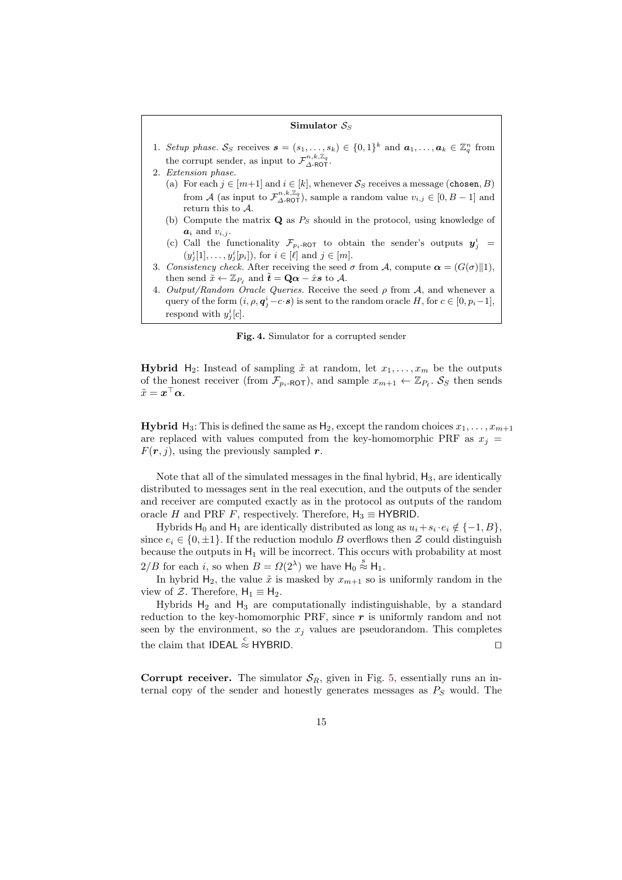#### Simulator  $S_S$

- 1. Setup phase. Ss receives  $\mathbf{s} = (s_1, \ldots, s_k) \in \{0,1\}^k$  and  $\mathbf{a}_1, \ldots, \mathbf{a}_k \in \mathbb{Z}_q^n$  from the corrupt sender, as input to  $\mathcal{F}_{\Delta-\text{ROT}}^{n,k,\mathbb{Z}_q}$ .
- 2. Extension phase.
	- (a) For each  $j \in [m+1]$  and  $i \in [k]$ , whenever  $S_S$  receives a message (chosen, B) from A (as input to  $\mathcal{F}_{\Delta\text{-ROT}}^{n,k,\mathbb{Z}_q}$ ), sample a random value  $v_{i,j} \in [0,B-1]$  and return this to A.
	- (b) Compute the matrix  $\mathbf{Q}$  as  $P_S$  should in the protocol, using knowledge of  $a_i$  and  $v_{i,j}$ .
	- (c) Call the functionality  $\mathcal{F}_{p_i\text{-ROT}}$  to obtain the sender's outputs  $y_j^i$  $(y_j^i[1], \ldots, y_j^i[p_i]),$  for  $i \in [\ell]$  and  $j \in [m]$ .
- 3. Consistency check. After receiving the seed  $\sigma$  from A, compute  $\alpha = (G(\sigma)||1)$ , then send  $\tilde{x} \leftarrow \mathbb{Z}_{P_\ell}$  and  $\tilde{t} = \mathbf{Q}\alpha - \hat{x}\mathbf{s}$  to A.
- 4. Output/Random Oracle Queries. Receive the seed  $\rho$  from A, and whenever a query of the form  $(i, \rho, \mathbf{q}_j^i-c \cdot \mathbf{s})$  is sent to the random oracle H, for  $c \in [0, p_i-1]$ , respond with  $y_j^i[c]$ .

<span id="page-14-0"></span>Fig. 4. Simulator for a corrupted sender

**Hybrid** H<sub>2</sub>: Instead of sampling  $\tilde{x}$  at random, let  $x_1, \ldots, x_m$  be the outputs of the honest receiver (from  $\mathcal{F}_{p_i-ROT}$ ), and sample  $x_{m+1} \leftarrow \mathbb{Z}_{P_\ell}$ .  $\mathcal{S}_S$  then sends  $\tilde{x} = \boldsymbol{x}^\top \boldsymbol{\alpha}.$ 

**Hybrid** H<sub>3</sub>: This is defined the same as H<sub>2</sub>, except the random choices  $x_1, \ldots, x_{m+1}$ are replaced with values computed from the key-homomorphic PRF as  $x_i$  =  $F(r, j)$ , using the previously sampled r.

Note that all of the simulated messages in the final hybrid,  $H_3$ , are identically distributed to messages sent in the real execution, and the outputs of the sender and receiver are computed exactly as in the protocol as outputs of the random oracle H and PRF F, respectively. Therefore,  $H_3 \equiv HYBRID$ .

Hybrids  $H_0$  and  $H_1$  are identically distributed as long as  $u_i + s_i \cdot e_i \notin \{-1, B\}$ , since  $e_i \in \{0, \pm 1\}$ . If the reduction modulo B overflows then Z could distinguish because the outputs in  $H_1$  will be incorrect. This occurs with probability at most  $2/B$  for each i, so when  $B = \Omega(2^{\lambda})$  we have  $H_0 \stackrel{s}{\approx} H_1$ .

In hybrid  $H_2$ , the value  $\tilde{x}$  is masked by  $x_{m+1}$  so is uniformly random in the view of Z. Therefore,  $H_1 \equiv H_2$ .

Hybrids  $H_2$  and  $H_3$  are computationally indistinguishable, by a standard reduction to the key-homomorphic PRF, since  $r$  is uniformly random and not seen by the environment, so the  $x_i$  values are pseudorandom. This completes the claim that IDEAL  $\stackrel{c}{\approx}$  HYBRID.

**Corrupt receiver.** The simulator  $S_R$ , given in Fig. [5,](#page-15-0) essentially runs an internal copy of the sender and honestly generates messages as  $P<sub>S</sub>$  would. The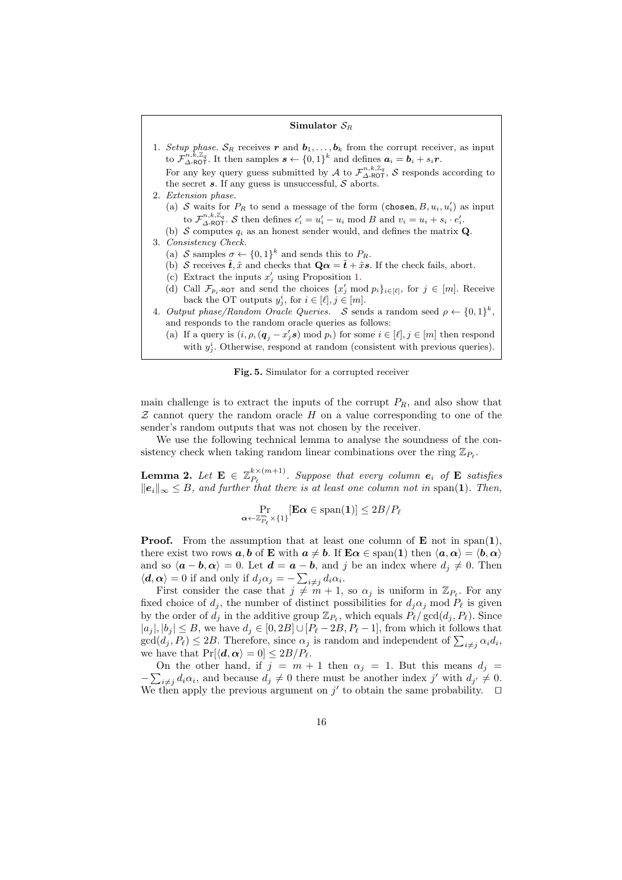#### Simulator  $S_R$

- 1. Setup phase.  $S_R$  receives r and  $b_1, \ldots, b_k$  from the corrupt receiver, as input to  $\mathcal{F}_{\Delta-\text{ROT}}^{n,k,\mathbb{Z}_q}$ . It then samples  $s \leftarrow \{0,1\}^k$  and defines  $a_i = b_i + s_i r$ . For any key query guess submitted by A to  $\mathcal{F}_{\Delta-\text{ROT}}^{n,k,\mathbb{Z}_q}$ , S responds according to the secret  $s$ . If any guess is unsuccessful,  $S$  aborts. 2. Extension phase. (a) S waits for  $P_R$  to send a message of the form (chosen,  $B, u_i, u'_i$ ) as input to  $\mathcal{F}_{\Delta\text{-ROT}}^{n,k,\mathbb{Z}_q}$ . S then defines  $e'_i = u'_i - u_i \mod B$  and  $v_i = u_i + s_i \cdot e'_i$ . (b) S computes  $q_i$  as an honest sender would, and defines the matrix Q. 3. Consistency Check. (a) S samples  $\sigma \leftarrow \{0,1\}^k$  and sends this to  $P_R$ .
	- (b) S receives  $\tilde{t}, \tilde{x}$  and checks that  $\mathbf{Q}\alpha = \tilde{t} + \tilde{x}\mathbf{s}$ . If the check fails, abort.
	- (c) Extract the inputs  $x'_j$  using Proposition [1.](#page-16-0)
- <span id="page-15-2"></span>(d) Call  $\mathcal{F}_{p_i\text{-ROT}}$  and send the choices  $\{x'_j \text{ mod } p_i\}_{i \in [\ell]},$  for  $j \in [m]$ . Receive back the OT outputs  $y_j^i$ , for  $i \in [\ell], j \in [m]$ .
- 4. Output phase/Random Oracle Queries. S sends a random seed  $\rho \leftarrow \{0,1\}^k$ , and responds to the random oracle queries as follows:
	- (a) If a query is  $(i, \rho, (\mathbf{q}_j x'_j \mathbf{s}) \mod p_i)$  for some  $i \in [\ell], j \in [m]$  then respond with  $y_j^i$ . Otherwise, respond at random (consistent with previous queries).

<span id="page-15-0"></span>

main challenge is to extract the inputs of the corrupt  $P_R$ , and also show that  $Z$  cannot query the random oracle  $H$  on a value corresponding to one of the sender's random outputs that was not chosen by the receiver.

We use the following technical lemma to analyse the soundness of the consistency check when taking random linear combinations over the ring  $\mathbb{Z}_{P_\ell}$ .

<span id="page-15-1"></span>Lemma 2. Let  $\mathbf{E} \in \mathbb{Z}_{P_a}^{k \times (m+1)}$  $P_{\ell}^{k \times (m+1)}$ . Suppose that every column  $e_i$  of **E** satisfies  $||e_i||_{\infty} \leq B$ , and further that there is at least one column not in span(1). Then,

$$
\Pr_{\mathbf{\alpha} \leftarrow \mathbb{Z}_{P_{\ell}}^m \times \{1\}}[\mathbf{E}\mathbf{\alpha} \in \mathrm{span}(\mathbf{1})] \leq 2B/P_{\ell}
$$

**Proof.** From the assumption that at least one column of  $\mathbf{E}$  not in span(1), there exist two rows  $a, b$  of **E** with  $a \neq b$ . If  $E\alpha \in \text{span}(1)$  then  $\langle a, \alpha \rangle = \langle b, \alpha \rangle$ and so  $\langle a - b, \alpha \rangle = 0$ . Let  $d = a - b$ , and j be an index where  $d_i \neq 0$ . Then  $\langle \mathbf{d}, \boldsymbol{\alpha} \rangle = 0$  if and only if  $d_j \alpha_j = -\sum_{i \neq j} d_i \alpha_i$ .

First consider the case that  $j \neq m + 1$ , so  $\alpha_j$  is uniform in  $\mathbb{Z}_{P_\ell}$ . For any fixed choice of  $d_i$ , the number of distinct possibilities for  $d_i\alpha_j$  mod  $P_\ell$  is given by the order of  $\tilde{d}_j$  in the additive group  $\mathbb{Z}_{P_\ell}$ , which equals  $P_\ell / \gcd(d_j, P_\ell)$ . Since  $|a_j|, |b_j| \leq B$ , we have  $d_j \in [0, 2B] \cup [P_\ell - 2B, P_\ell - 1]$ , from which it follows that  $gcd(d_j, P_\ell) \leq 2B$ . Therefore, since  $\alpha_j$  is random and independent of  $\sum_{i \neq j} \alpha_i d_i$ , we have that  $Pr[\langle d, \alpha \rangle = 0] \leq 2B/P_{\ell}$ .

On the other hand, if  $j = m + 1$  then  $\alpha_j = 1$ . But this means  $d_j =$  $-\sum_{i\neq j} d_i\alpha_i$ , and because  $d_j \neq 0$  there must be another index j' with  $d_{j'} \neq 0$ . We then apply the previous argument on  $j'$  to obtain the same probability.  $\Box$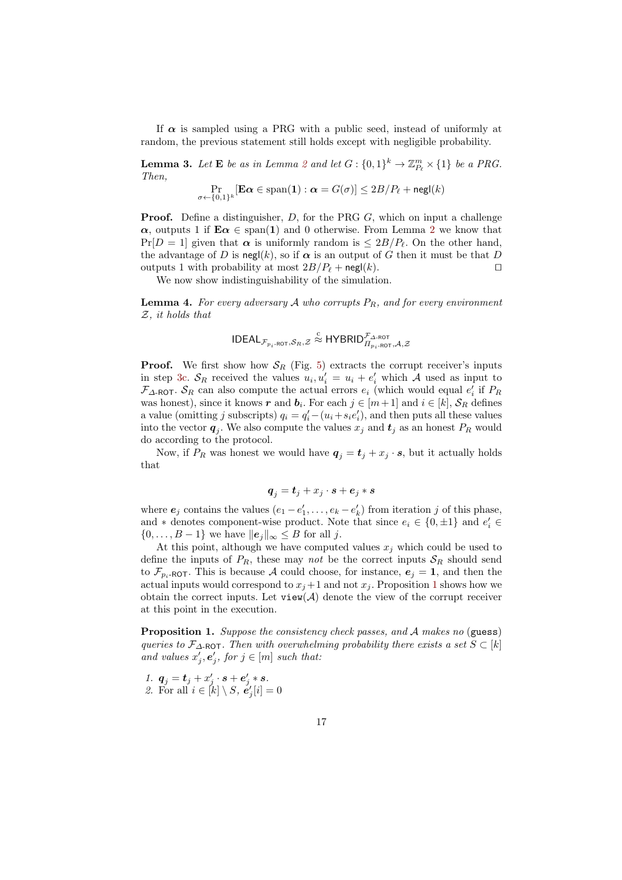If  $\alpha$  is sampled using a PRG with a public seed, instead of uniformly at random, the previous statement still holds except with negligible probability.

<span id="page-16-1"></span>**Lemma 3.** Let **E** be as in Lemma [2](#page-15-1) and let  $G: \{0,1\}^k \to \mathbb{Z}_{P_\ell}^m \times \{1\}$  be a PRG. Then,

$$
\Pr_{\sigma \leftarrow \{0,1\}^k}[\mathbf{E}\alpha \in \mathrm{span}(\mathbf{1}) : \alpha = G(\sigma)] \leq 2B/P_{\ell} + \mathsf{negl}(k)
$$

**Proof.** Define a distinguisher, D, for the PRG G, which on input a challenge  $\alpha$ , outputs 1 if  $\mathbf{E}\alpha \in \text{span}(\mathbf{1})$  and 0 otherwise. From Lemma [2](#page-15-1) we know that  $Pr[D = 1]$  given that  $\alpha$  is uniformly random is  $\leq 2B/P_{\ell}$ . On the other hand, the advantage of D is negl(k), so if  $\alpha$  is an output of G then it must be that D outputs 1 with probability at most  $2B/P_\ell + \mathsf{negl}(k)$ .

We now show indistinguishability of the simulation.

**Lemma 4.** For every adversary  $A$  who corrupts  $P_R$ , and for every environment Z, it holds that

$$
\mathsf{IDEAL}_{\mathcal{F}_{p_i\text{-}\mathsf{ROT}},\mathcal{S}_R,\mathcal{Z}} \overset{\text{c}}{\approx} \mathsf{HYBRID}_{\Pi_{p_i\text{-}\mathsf{ROT}},\mathcal{A},\mathcal{Z}}^{\mathcal{F}_{\Delta\text{-}\mathsf{ROT}}}
$$

**Proof.** We first show how  $S_R$  (Fig. [5\)](#page-15-0) extracts the corrupt receiver's inputs in step [3c.](#page-15-2)  $S_R$  received the values  $u_i, u'_i = u_i + e'_i$  which A used as input to  $\mathcal{F}_{\Delta\text{-ROT}}$ .  $\mathcal{S}_R$  can also compute the actual errors  $e_i$  (which would equal  $e'_i$  if  $P_R$ was honest), since it knows r and  $b_i$ . For each  $j \in [m+1]$  and  $i \in [k]$ ,  $S_R$  defines a value (omitting j subscripts)  $q_i = q'_i - (u_i + s_i e'_i)$ , and then puts all these values into the vector  $q_j$ . We also compute the values  $x_j$  and  $t_j$  as an honest  $P_R$  would do according to the protocol.

Now, if  $P_R$  was honest we would have  $q_j = t_j + x_j \cdot s$ , but it actually holds that

$$
\boldsymbol{q}_j = \boldsymbol{t}_j + x_j \cdot \boldsymbol{s} + \boldsymbol{e}_j * \boldsymbol{s}
$$

where  $e_j$  contains the values  $(e_1 - e'_1, \ldots, e_k - e'_k)$  from iteration j of this phase, and  $*$  denotes component-wise product. Note that since  $e_i \in \{0, \pm 1\}$  and  $e'_i \in$  $\{0,\ldots,B-1\}$  we have  $||e_j||_{\infty} \leq B$  for all j.

At this point, although we have computed values  $x_i$  which could be used to define the inputs of  $P_R$ , these may not be the correct inputs  $S_R$  should send to  $\mathcal{F}_{p_i\text{-ROT}}$ . This is because A could choose, for instance,  $e_j = 1$ , and then the actual inputs would correspond to  $x_j + 1$  $x_j + 1$  and not  $x_j$ . Proposition 1 shows how we obtain the correct inputs. Let  $view(\mathcal{A})$  denote the view of the corrupt receiver at this point in the execution.

<span id="page-16-0"></span>**Proposition 1.** Suppose the consistency check passes, and A makes no (guess) queries to  $\mathcal{F}_{\Delta\text{-ROT}}$ . Then with overwhelming probability there exists a set  $S \subset [k]$ and values  $x'_{j}, e'_{j},$  for  $j \in [m]$  such that:

1.  $q_j = t_j + x'_j \cdot s + e'_j * s$ . 2. For all  $i \in [k] \setminus S$ ,  $e'_{j}[i] = 0$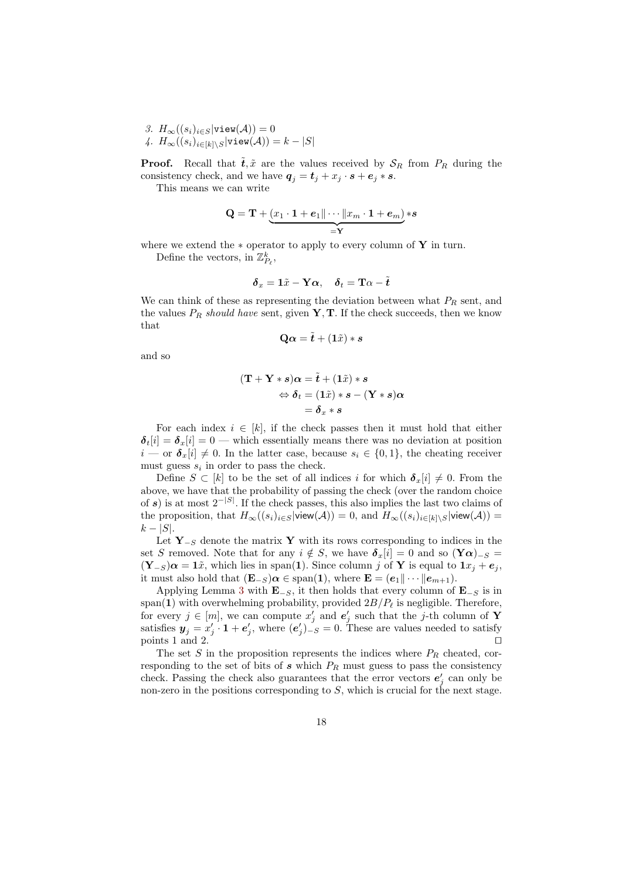3.  $H_{\infty}((s_i)_{i\in S}|\text{view}(\mathcal{A}))=0$ 4.  $H_{\infty}((s_i)_{i\in[k]\setminus S}|\text{view}(\mathcal{A}))=k-|S|$ 

**Proof.** Recall that  $\tilde{t}, \tilde{x}$  are the values received by  $S_R$  from  $P_R$  during the consistency check, and we have  $q_j = t_j + x_j \cdot s + e_j * s$ .

This means we can write

$$
\mathbf{Q} = \mathbf{T} + \underbrace{(x_1 \cdot \mathbf{1} + e_1 \|\cdots\| x_m \cdot \mathbf{1} + e_m)}_{=\mathbf{Y}} *s
$$

where we extend the  $*$  operator to apply to every column of Y in turn.

Define the vectors, in  $\mathbb{Z}_{P_\ell}^k,$ 

$$
\boldsymbol{\delta}_x = \mathbf{1} \tilde{x} - \mathbf{Y} \boldsymbol{\alpha}, \quad \boldsymbol{\delta}_t = \mathbf{T} \boldsymbol{\alpha} - \tilde{\boldsymbol{t}}
$$

We can think of these as representing the deviation between what  $P_R$  sent, and the values  $P_R$  should have sent, given  $\mathbf{Y}, \mathbf{T}$ . If the check succeeds, then we know that

$$
\mathbf{Q}\alpha = \tilde{\boldsymbol{t}} + (1\tilde{x}) * s
$$

and so

$$
(\mathbf{T} + \mathbf{Y} * s)\alpha = \tilde{\boldsymbol{t}} + (1\tilde{x}) * s
$$
  

$$
\Leftrightarrow \boldsymbol{\delta}_t = (1\tilde{x}) * s - (\mathbf{Y} * s)\alpha
$$
  

$$
= \boldsymbol{\delta}_x * s
$$

For each index  $i \in [k]$ , if the check passes then it must hold that either  $\delta_t[i] = \delta_x[i] = 0$  — which essentially means there was no deviation at position  $i \text{---}$  or  $\boldsymbol{\delta}_x[i] \neq 0$ . In the latter case, because  $s_i \in \{0,1\}$ , the cheating receiver must guess  $s_i$  in order to pass the check.

Define  $S \subset [k]$  to be the set of all indices i for which  $\delta_x[i] \neq 0$ . From the above, we have that the probability of passing the check (over the random choice of s) is at most  $2^{-|S|}$ . If the check passes, this also implies the last two claims of the proposition, that  $H_{\infty}((s_i)_{i\in S}|\text{view}(\mathcal{A}))=0$ , and  $H_{\infty}((s_i)_{i\in[k]\setminus S}|\text{view}(\mathcal{A}))=$  $k - |S|$ .

Let  $\mathbf{Y}_{-S}$  denote the matrix Y with its rows corresponding to indices in the set S removed. Note that for any  $i \notin S$ , we have  $\delta_x[i] = 0$  and so  $(\mathbf{Y}\alpha)_{-S} =$  $(Y_{-S})\alpha = 1\tilde{x}$ , which lies in span(1). Since column j of Y is equal to  $1x_i + e_j$ , it must also hold that  $(\mathbf{E}_{-S})\alpha \in \text{span}(\mathbf{1}),$  where  $\mathbf{E} = (e_1 \|\cdots \|e_{m+1}).$ 

Applying Lemma [3](#page-16-1) with  $\mathbf{E}_{-S}$ , it then holds that every column of  $\mathbf{E}_{-S}$  is in span(1) with overwhelming probability, provided  $2B/P_\ell$  is negligible. Therefore, for every  $j \in [m]$ , we can compute  $x'_{j}$  and  $e'_{j}$  such that the j-th column of Y satisfies  $y_j = x'_j \cdot 1 + e'_j$ , where  $(e'_j)_{-S} = 0$ . These are values needed to satisfy points 1 and 2.  $\Box$ 

The set S in the proposition represents the indices where  $P_R$  cheated, corresponding to the set of bits of  $s$  which  $P_R$  must guess to pass the consistency check. Passing the check also guarantees that the error vectors  $e'_{j}$  can only be non-zero in the positions corresponding to  $S$ , which is crucial for the next stage.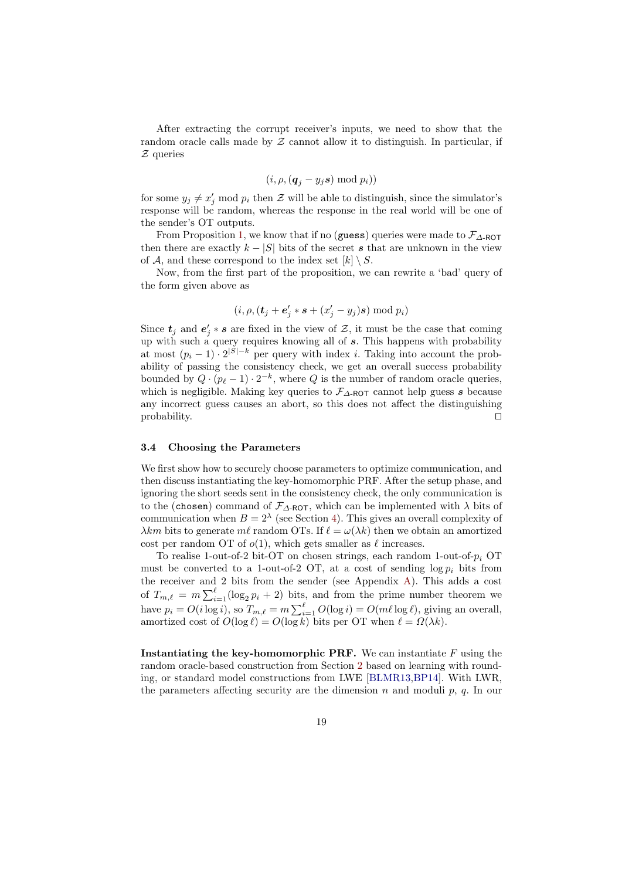After extracting the corrupt receiver's inputs, we need to show that the random oracle calls made by  $Z$  cannot allow it to distinguish. In particular, if  $Z$  queries

$$
(i,\rho, (\boldsymbol{q}_j - y_j \boldsymbol{s}) \bmod p_i))
$$

for some  $y_j \neq x'_j \mod p_i$  then  $\mathcal Z$  will be able to distinguish, since the simulator's response will be random, whereas the response in the real world will be one of the sender's OT outputs.

From Proposition [1,](#page-16-0) we know that if no (guess) queries were made to  $\mathcal{F}_{\Delta\text{-ROT}}$ then there are exactly  $k - |S|$  bits of the secret s that are unknown in the view of A, and these correspond to the index set  $[k] \setminus S$ .

Now, from the first part of the proposition, we can rewrite a 'bad' query of the form given above as

$$
(i, \rho, (\boldsymbol{t}_j + \boldsymbol{e}'_j * \boldsymbol{s} + (x'_j - y_j)\boldsymbol{s}) \bmod p_i)
$$

Since  $t_j$  and  $e'_j * s$  are fixed in the view of  $\mathcal{Z}$ , it must be the case that coming up with such a query requires knowing all of s. This happens with probability at most  $(p_i - 1) \cdot 2^{|S| - k}$  per query with index *i*. Taking into account the probability of passing the consistency check, we get an overall success probability bounded by  $Q \cdot (p_\ell - 1) \cdot 2^{-k}$ , where Q is the number of random oracle queries, which is negligible. Making key queries to  $\mathcal{F}_{\Delta\text{-ROT}}$  cannot help guess s because any incorrect guess causes an abort, so this does not affect the distinguishing  $\Box$ 

#### 3.4 Choosing the Parameters

We first show how to securely choose parameters to optimize communication, and then discuss instantiating the key-homomorphic PRF. After the setup phase, and ignoring the short seeds sent in the consistency check, the only communication is to the (chosen) command of  $\mathcal{F}_{\Delta\text{-ROT}}$ , which can be implemented with  $\lambda$  bits of communication when  $B = 2^{\lambda}$  (see Section [4\)](#page-19-0). This gives an overall complexity of  $\lambda km$  bits to generate ml random OTs. If  $\ell = \omega(\lambda k)$  then we obtain an amortized cost per random OT of  $o(1)$ , which gets smaller as  $\ell$  increases.

To realise 1-out-of-2 bit-OT on chosen strings, each random 1-out-of- $p_i$  OT must be converted to a 1-out-of-2 OT, at a cost of sending  $\log p_i$  bits from the receiver and 2 bits from the sender (see Appendix [A\)](#page-25-0). This adds a cost of  $T_{m,\ell} = m \sum_{i=1}^{\ell} (\log_2 p_i + 2)$  bits, and from the prime number theorem we have  $p_i = O(i \log i)$ , so  $T_{m,\ell} = m \sum_{i=1}^{\ell} O(\log i) = O(m\ell \log \ell)$ , giving an overall, amortized cost of  $O(\log \ell) = O(\log k)$  bits per OT when  $\ell = \Omega(\lambda k)$ .

**Instantiating the key-homomorphic PRF.** We can instantiate  $F$  using the random oracle-based construction from Section [2](#page-7-1) based on learning with rounding, or standard model constructions from LWE [\[BLMR13,](#page-27-7)[BP14\]](#page-27-8). With LWR, the parameters affecting security are the dimension  $n$  and moduli  $p$ ,  $q$ . In our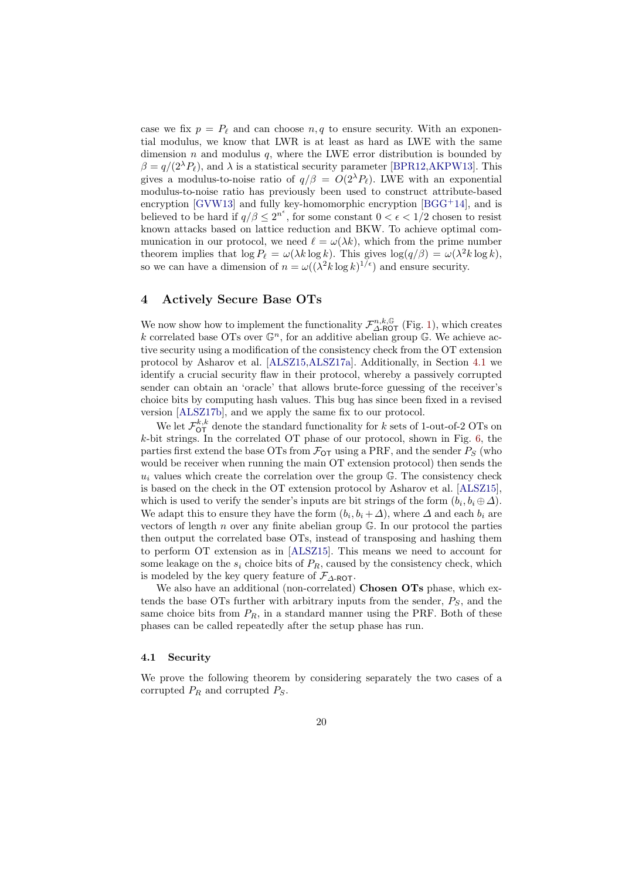case we fix  $p = P_\ell$  and can choose  $n, q$  to ensure security. With an exponential modulus, we know that LWR is at least as hard as LWE with the same dimension  $n$  and modulus  $q$ , where the LWE error distribution is bounded by  $\beta = q/(2^{\lambda}P_{\ell})$ , and  $\lambda$  is a statistical security parameter [\[BPR12,](#page-27-11)[AKPW13\]](#page-26-7). This gives a modulus-to-noise ratio of  $q/\beta = O(2^{\lambda}P_{\ell})$ . LWE with an exponential modulus-to-noise ratio has previously been used to construct attribute-based encryption [\[GVW13\]](#page-27-6) and fully key-homomorphic encryption  $[BGG^+14]$  $[BGG^+14]$ , and is believed to be hard if  $q/\beta \leq 2^{n^{\epsilon}}$ , for some constant  $0 < \epsilon < 1/2$  chosen to resist known attacks based on lattice reduction and BKW. To achieve optimal communication in our protocol, we need  $\ell = \omega(\lambda k)$ , which from the prime number theorem implies that  $\log P_\ell = \omega(\lambda k \log k)$ . This gives  $\log(q/\beta) = \omega(\lambda^2 k \log k)$ , so we can have a dimension of  $n = \omega((\lambda^2 k \log k)^{1/\epsilon})$  and ensure security.

## <span id="page-19-0"></span>4 Actively Secure Base OTs

We now show how to implement the functionality  $\mathcal{F}_{\Delta\text{-ROT}}^{n,k,\mathbb{G}}$  (Fig. [1\)](#page-10-0), which creates k correlated base OTs over  $\mathbb{G}^n$ , for an additive abelian group  $\mathbb{G}$ . We achieve active security using a modification of the consistency check from the OT extension protocol by Asharov et al. [\[ALSZ15,](#page-26-1)[ALSZ17a\]](#page-26-3). Additionally, in Section [4.1](#page-19-1) we identify a crucial security flaw in their protocol, whereby a passively corrupted sender can obtain an 'oracle' that allows brute-force guessing of the receiver's choice bits by computing hash values. This bug has since been fixed in a revised version [\[ALSZ17b\]](#page-26-4), and we apply the same fix to our protocol.

We let  $\mathcal{F}_{\text{OT}}^{k,k}$  denote the standard functionality for k sets of 1-out-of-2 OTs on k-bit strings. In the correlated OT phase of our protocol, shown in Fig. [6,](#page-20-0) the parties first extend the base OTs from  $\mathcal{F}_{\text{OT}}$  using a PRF, and the sender  $P_S$  (who would be receiver when running the main OT extension protocol) then sends the  $u_i$  values which create the correlation over the group  $\mathbb{G}$ . The consistency check is based on the check in the OT extension protocol by Asharov et al. [\[ALSZ15\]](#page-26-1), which is used to verify the sender's inputs are bit strings of the form  $(b_i, b_i \oplus \Delta)$ . We adapt this to ensure they have the form  $(b_i, b_i + \Delta)$ , where  $\Delta$  and each  $b_i$  are vectors of length  $n$  over any finite abelian group  $\mathbb{G}$ . In our protocol the parties then output the correlated base OTs, instead of transposing and hashing them to perform OT extension as in [\[ALSZ15\]](#page-26-1). This means we need to account for some leakage on the  $s_i$  choice bits of  $P_R$ , caused by the consistency check, which is modeled by the key query feature of  $\mathcal{F}_{\Delta\text{-ROT}}$ .

We also have an additional (non-correlated) Chosen OTs phase, which extends the base OTs further with arbitrary inputs from the sender,  $P<sub>S</sub>$ , and the same choice bits from  $P_R$ , in a standard manner using the PRF. Both of these phases can be called repeatedly after the setup phase has run.

### <span id="page-19-1"></span>4.1 Security

We prove the following theorem by considering separately the two cases of a corrupted  $P_R$  and corrupted  $P_S$ .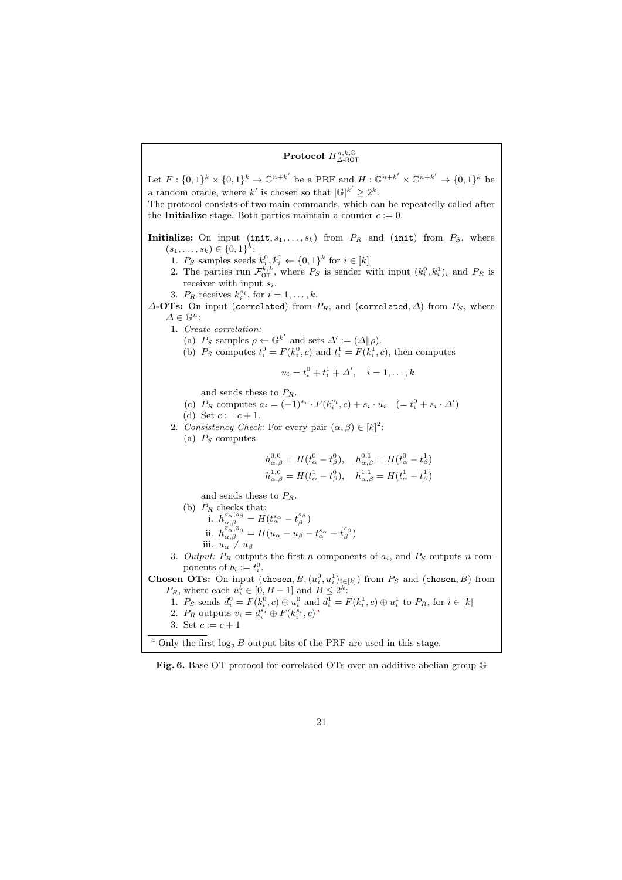# $\operatorname{Protocol}$   $\Pi^{n,k,\mathbb{G}}_{\Delta\text{-ROT}}$

<span id="page-20-2"></span>Let  $F: \{0,1\}^k \times \{0,1\}^k \to \mathbb{G}^{n+k'}$  be a PRF and  $H: \mathbb{G}^{n+k'} \times \mathbb{G}^{n+k'} \to \{0,1\}^k$  be a random oracle, where k' is chosen so that  $|\mathbb{G}|^{k'} \geq 2^k$ . The protocol consists of two main commands, which can be repeatedly called after the **Initialize** stage. Both parties maintain a counter  $c := 0$ . Initialize: On input  $(int, s_1, \ldots, s_k)$  from  $P_R$  and  $(int)$  from  $P_S$ , where  $(s_1, \ldots, s_k) \in \{0,1\}^k$ : 1.  $P_S$  samples seeds  $k_i^0, k_i^1 \leftarrow \{0, 1\}^k$  for  $i \in [k]$ 2. The parties run  $\mathcal{F}_{\text{OT}}^{k,k}$ , where  $P_S$  is sender with input  $(k_i^0, k_i^1)_i$  and  $P_R$  is receiver with input  $s_i$ . 3.  $P_R$  receives  $k_i^{s_i}$ , for  $i = 1, \ldots, k$ .  $\Delta$ -OTs: On input (correlated) from  $P_R$ , and (correlated,  $\Delta$ ) from  $P_S$ , where  $\Delta \in \mathbb{G}^n$ : 1. Create correlation: (a)  $P_S$  samples  $\rho \leftarrow \mathbb{G}^{k'}$  and sets  $\Delta' := (\Delta || \rho)$ . (b)  $P_S$  computes  $t_i^0 = F(k_i^0, c)$  and  $t_i^1 = F(k_i^1, c)$ , then computes  $u_i = t_i^0 + t_i^1 + \Delta', \quad i = 1, \ldots, k$ and sends these to  $P_R$ . (c)  $P_R$  computes  $a_i = (-1)^{s_i} \cdot F(k_i^{s_i}, c) + s_i \cdot u_i \quad (= t_i^0 + s_i \cdot \Delta')$ (d) Set  $c := c + 1$ . 2. Consistency Check: For every pair  $(\alpha, \beta) \in [k]^2$ : (a)  $P_S$  computes  $h_{\alpha,\beta}^{0,0} = H(t_\alpha^0 - t_\beta^0), \quad h_{\alpha,\beta}^{0,1} = H(t_\alpha^0 - t_\beta^1)$  $h_{\alpha,\beta}^{1,0} = H(t_\alpha^1 - t_\beta^0), \quad h_{\alpha,\beta}^{1,1} = H(t_\alpha^1 - t_\beta^1)$ and sends these to  $P_R$ . (b)  $P_R$  checks that: i.  $h_{\alpha,\beta}^{s_{\alpha},s_{\beta}} = H(t_{\alpha}^{s_{\alpha}} - t_{\beta}^{s_{\beta}})$ ii.  $h^{\bar{s}_\alpha,\bar{s}_\beta}_{\alpha,\beta}=H(u_\alpha-u_\beta-t^{s_\alpha}_\alpha+t^{s_\beta}_\beta)$ iii.  $u_{\alpha} \neq u_{\beta}$ 3. Output:  $P_R$  outputs the first n components of  $a_i$ , and  $P_S$  outputs n components of  $b_i := t_i^0$ . **Chosen OTs:** On input (chosen,  $B$ ,  $(u_i^0, u_i^1)_{i \in [k]}$ ) from  $P_S$  and (chosen, B) from  $P_R$ , where each  $u_i^b \in [0, B-1]$  and  $B \leq 2^k$ : 1.  $P_S$  sends  $d_i^0 = F(k_i^0, c) \oplus u_i^0$  and  $d_i^1 = F(k_i^1, c) \oplus u_i^1$  to  $P_R$ , for  $i \in [k]$ 2.  $P_R$  outputs  $v_i = d_i^{s_i} \oplus F(k_i^{s_i}, c)^d$ 3. Set  $c := c + 1$ <sup>a</sup> Only the first  $log_2 B$  output bits of the PRF are used in this stage.

<span id="page-20-1"></span><span id="page-20-0"></span>Fig. 6. Base OT protocol for correlated OTs over an additive abelian group G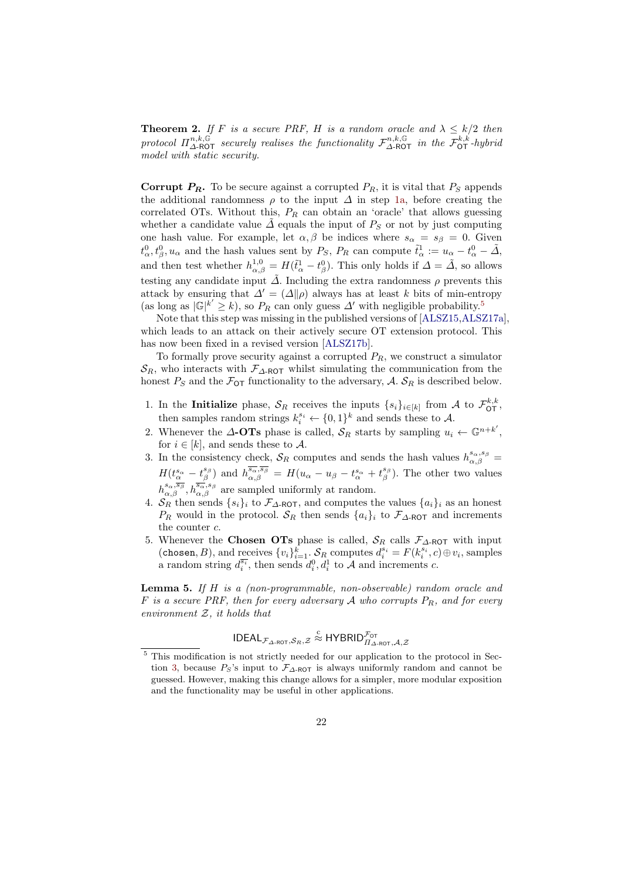**Theorem 2.** If F is a secure PRF, H is a random oracle and  $\lambda \leq k/2$  then protocol  $\Pi_{\Delta\text{-ROT}}^{n,k,\mathbb{G}}$  securely realises the functionality  $\mathcal{F}_{\Delta\text{-ROT}}^{n,k,\mathbb{G}}$  in the  $\mathcal{F}_{\text{OT}}^{k,k}$ -hybrid model with static security.

**Corrupt**  $P_R$ **.** To be secure against a corrupted  $P_R$ , it is vital that  $P_S$  appends the additional randomness  $\rho$  to the input  $\Delta$  in step [1a,](#page-20-2) before creating the correlated OTs. Without this,  $P_R$  can obtain an 'oracle' that allows guessing whether a candidate value  $\tilde{\Delta}$  equals the input of  $P_S$  or not by just computing one hash value. For example, let  $\alpha, \beta$  be indices where  $s_{\alpha} = s_{\beta} = 0$ . Given  $t_\alpha^0, t_\beta^0, u_\alpha$  and the hash values sent by  $P_S$ ,  $P_R$  can compute  $\tilde{t}_\alpha^1 := u_\alpha - t_\alpha^0 - \tilde{\Delta}$ , and then test whether  $h_{\alpha,\beta}^{1,0} = H(\tilde{t}_{\alpha}^1 - t_{\beta}^0)$ . This only holds if  $\Delta = \tilde{\Delta}$ , so allows testing any candidate input  $\tilde{\Delta}$ . Including the extra randomness  $\rho$  prevents this attack by ensuring that  $\Delta' = (\Delta \| \rho)$  always has at least k bits of min-entropy (as long as  $|\mathbb{G}|^{k'} \geq k$ ), so  $P_R$  can only guess  $\Delta'$  with negligible probability.<sup>[5](#page-21-0)</sup>

Note that this step was missing in the published versions of [\[ALSZ15,](#page-26-1)[ALSZ17a\]](#page-26-3), which leads to an attack on their actively secure OT extension protocol. This has now been fixed in a revised version [\[ALSZ17b\]](#page-26-4).

To formally prove security against a corrupted  $P_R$ , we construct a simulator  $\mathcal{S}_R$ , who interacts with  $\mathcal{F}_{\Delta\text{-ROT}}$  whilst simulating the communication from the honest  $P_S$  and the  $\mathcal{F}_{\text{OT}}$  functionality to the adversary, A.  $\mathcal{S}_R$  is described below.

- 1. In the Initialize phase,  $S_R$  receives the inputs  $\{s_i\}_{i\in[k]}$  from A to  $\mathcal{F}_{\mathsf{OT}}^{k,k}$ , then samples random strings  $k_i^{s_i} \leftarrow \{0,1\}^k$  and sends these to A.
- 2. Whenever the  $\Delta$ -OTs phase is called,  $S_R$  starts by sampling  $u_i \leftarrow \mathbb{G}^{n+k'}$ , for  $i \in [k]$ , and sends these to A.
- 3. In the consistency check,  $S_R$  computes and sends the hash values  $h_{\alpha,\beta}^{s_{\alpha},s_{\beta}}=$  $H(t^{s_{\alpha}}_{\alpha}-t^{s_{\beta}}_{\beta})$  and  $h^{\overline{s_{\alpha}},\overline{s_{\beta}}}_{\alpha,\beta}=H(u_{\alpha}-u_{\beta}-t^{s_{\alpha}}_{\alpha}+t^{s_{\beta}}_{\beta})$ . The other two values  $h_{\alpha,\beta}^{s_{\alpha},\overline{s_{\beta}}}, h_{\alpha,\beta}^{\overline{s_{\alpha}},s_{\beta}}$  are sampled uniformly at random.
- 4.  $S_R$  then sends  $\{s_i\}_i$  to  $\mathcal{F}_{\Delta\text{-ROT}}$ , and computes the values  $\{a_i\}_i$  as an honest  $P_R$  would in the protocol.  $S_R$  then sends  $\{a_i\}_i$  to  $\mathcal{F}_{\Delta\text{-ROT}}$  and increments the counter c.
- 5. Whenever the Chosen OTs phase is called,  $S_R$  calls  $\mathcal{F}_{\Delta\text{-ROT}}$  with input (chosen, B), and receives  $\{v_i\}_{i=1}^k$ .  $\mathcal{S}_R$  computes  $d_i^{s_i} = F(k_i^{s_i}, c) \oplus v_i$ , samples a random string  $d_i^{\overline{s_i}}$ , then sends  $d_i^0, d_i^1$  to A and increments c.

**Lemma 5.** If  $H$  is a (non-programmable, non-observable) random oracle and F is a secure PRF, then for every adversary A who corrupts  $P_R$ , and for every environment  $Z$ , it holds that

$$
\mathsf{IDEAL}_{\mathcal{F}_{\Delta\text{-}\mathsf{ROT}},\mathcal{S}_R,\mathcal{Z}} \overset{\text{c}}{\approx} \mathsf{HYBRID}_{\Pi_{\Delta\text{-}\mathsf{ROT}},\mathcal{A},\mathcal{Z}}^{\mathcal{F}_\mathsf{OT}}
$$

<span id="page-21-0"></span> $^5$  This modification is not strictly needed for our application to the protocol in Sec-tion [3,](#page-9-2) because  $P_S$ 's input to  $\mathcal{F}_{\Delta\text{-ROT}}$  is always uniformly random and cannot be guessed. However, making this change allows for a simpler, more modular exposition and the functionality may be useful in other applications.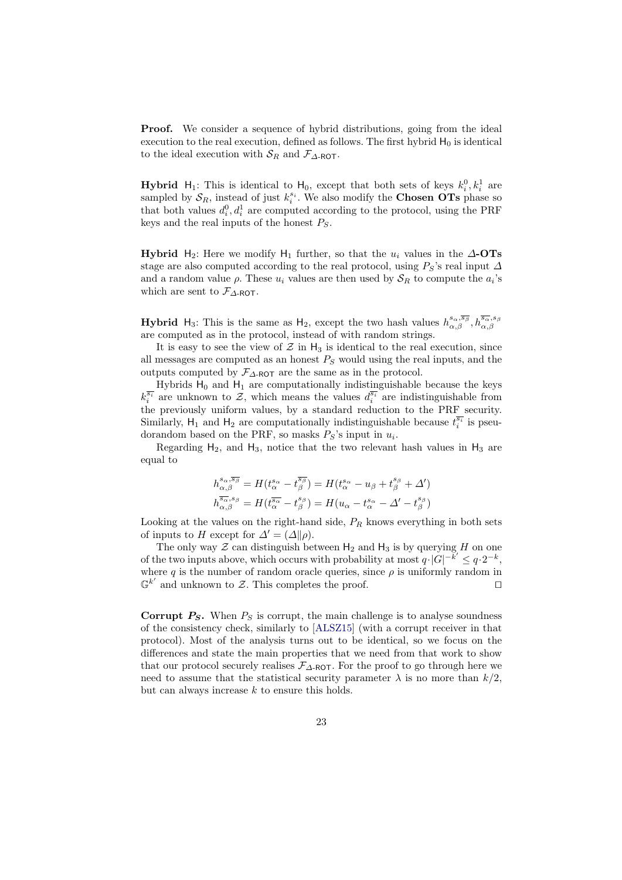**Proof.** We consider a sequence of hybrid distributions, going from the ideal execution to the real execution, defined as follows. The first hybrid  $H_0$  is identical to the ideal execution with  $S_R$  and  $\mathcal{F}_{\Delta\text{-ROT}}$ .

**Hybrid**  $H_1$ : This is identical to  $H_0$ , except that both sets of keys  $k_i^0, k_i^1$  are sampled by  $S_R$ , instead of just  $k_i^{s_i}$ . We also modify the **Chosen OTs** phase so that both values  $d_i^0, d_i^1$  are computed according to the protocol, using the PRF keys and the real inputs of the honest  $P_S$ .

**Hybrid** H<sub>2</sub>: Here we modify H<sub>1</sub> further, so that the  $u_i$  values in the  $\Delta$ -OTs stage are also computed according to the real protocol, using  $P_S$ 's real input  $\Delta$ and a random value  $\rho$ . These  $u_i$  values are then used by  $\mathcal{S}_R$  to compute the  $a_i$ 's which are sent to  $\mathcal{F}_{\Delta\text{-ROT}}$ .

**Hybrid** H<sub>3</sub>: This is the same as H<sub>2</sub>, except the two hash values  $h_{\alpha,\beta}^{s_{\alpha},\overline{s_{\beta}}}, h_{\alpha,\beta}^{\overline{s_{\alpha}},s_{\beta}}$ are computed as in the protocol, instead of with random strings.

It is easy to see the view of  $\mathcal Z$  in  $H_3$  is identical to the real execution, since all messages are computed as an honest  $P<sub>S</sub>$  would using the real inputs, and the outputs computed by  $\mathcal{F}_{\Lambda\text{-ROT}}$  are the same as in the protocol.

Hybrids  $H_0$  and  $H_1$  are computationally indistinguishable because the keys  $k_i^{\overline{s_i}}$  are unknown to  $\mathcal{Z}$ , which means the values  $d_i^{\overline{s_i}}$  are indistinguishable from the previously uniform values, by a standard reduction to the PRF security. Similarly,  $H_1$  and  $H_2$  are computationally indistinguishable because  $t_i^{\overline{s_i}}$  is pseudorandom based on the PRF, so masks  $P_S$ 's input in  $u_i$ .

Regarding  $H_2$ , and  $H_3$ , notice that the two relevant hash values in  $H_3$  are equal to

$$
\begin{split} h^{{s_\alpha},\overline{s_\beta}}_{\alpha,\beta} &= H(t^{s_\alpha}_\alpha - t^{s_\beta}_\beta) = H(t^{s_\alpha}_\alpha - u_\beta + t^{s_\beta}_\beta + \Delta')\\ h^{\overline{s_\alpha},s_\beta}_{\alpha,\beta} &= H(t^{s_\alpha}_\alpha - t^{s_\beta}_\beta) = H(u_\alpha - t^{s_\alpha}_\alpha - \Delta' - t^{s_\beta}_\beta) \end{split}
$$

Looking at the values on the right-hand side,  $P_R$  knows everything in both sets of inputs to H except for  $\Delta' = (\Delta || \rho)$ .

The only way  $\mathcal Z$  can distinguish between  $H_2$  and  $H_3$  is by querying H on one of the two inputs above, which occurs with probability at most  $q \cdot |G|^{-\vec{k}'} \leq q \cdot 2^{-k}$ , where q is the number of random oracle queries, since  $\rho$  is uniformly random in  $\mathbb{G}^{k'}$  and unknown to Z. This completes the proof.

**Corrupt**  $P_S$ **.** When  $P_S$  is corrupt, the main challenge is to analyse soundness of the consistency check, similarly to [\[ALSZ15\]](#page-26-1) (with a corrupt receiver in that protocol). Most of the analysis turns out to be identical, so we focus on the differences and state the main properties that we need from that work to show that our protocol securely realises  $\mathcal{F}_{\Delta\text{-ROT}}$ . For the proof to go through here we need to assume that the statistical security parameter  $\lambda$  is no more than  $k/2$ , but can always increase  $k$  to ensure this holds.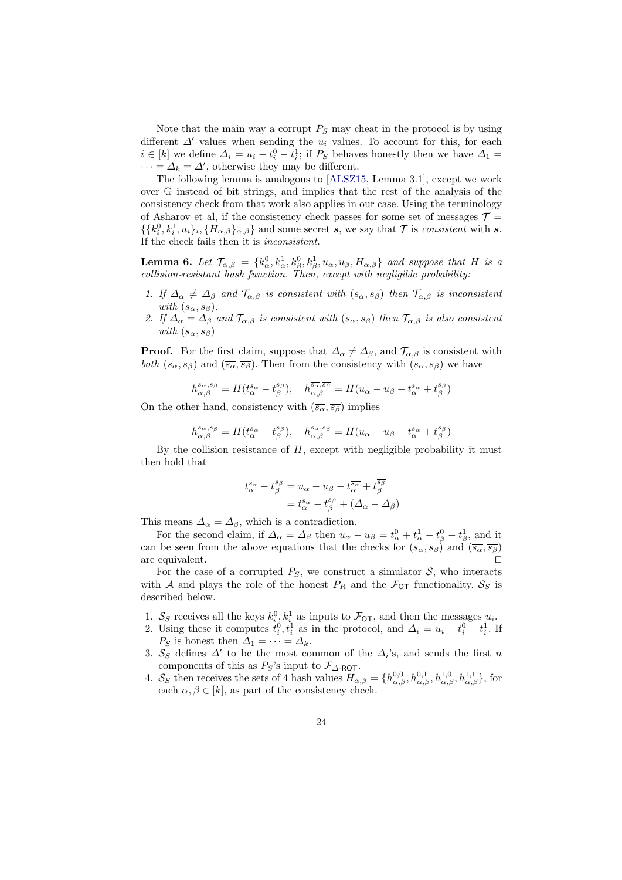Note that the main way a corrupt  $P_S$  may cheat in the protocol is by using different  $\Delta'$  values when sending the  $u_i$  values. To account for this, for each  $i \in [k]$  we define  $\Delta_i = u_i - t_i^0 - t_i^1$ ; if  $P_S$  behaves honestly then we have  $\Delta_1 =$  $\cdots = \Delta_k = \Delta'$ , otherwise they may be different.

The following lemma is analogous to [\[ALSZ15,](#page-26-1) Lemma 3.1], except we work over G instead of bit strings, and implies that the rest of the analysis of the consistency check from that work also applies in our case. Using the terminology of Asharov et al, if the consistency check passes for some set of messages  $\mathcal{T} =$  $\{\{k_i^0, k_i^1, u_i\}_i, \{H_{\alpha,\beta}\}_{{\alpha,\beta}}\}$  and some secret s, we say that  $\mathcal T$  is *consistent* with s. If the check fails then it is inconsistent.

<span id="page-23-0"></span>**Lemma 6.** Let  $\mathcal{T}_{\alpha,\beta} = \{k_{\alpha}^0, k_{\alpha}^1, k_{\beta}^0, k_{\beta}^1, u_{\alpha}, u_{\beta}, H_{\alpha,\beta}\}\$  and suppose that H is a collision-resistant hash function. Then, except with negligible probability:

- 1. If  $\Delta_{\alpha} \neq \Delta_{\beta}$  and  $\mathcal{T}_{\alpha,\beta}$  is consistent with  $(s_{\alpha}, s_{\beta})$  then  $\mathcal{T}_{\alpha,\beta}$  is inconsistent with  $(\overline{s_{\alpha}}, \overline{s_{\beta}})$ .
- 2. If  $\Delta_{\alpha} = \Delta_{\beta}$  and  $\mathcal{T}_{\alpha,\beta}$  is consistent with  $(s_{\alpha}, s_{\beta})$  then  $\mathcal{T}_{\alpha,\beta}$  is also consistent with  $(\overline{s_{\alpha}}, \overline{s_{\beta}})$

**Proof.** For the first claim, suppose that  $\Delta_{\alpha} \neq \Delta_{\beta}$ , and  $\mathcal{T}_{\alpha,\beta}$  is consistent with both  $(s_{\alpha}, s_{\beta})$  and  $(\overline{s_{\alpha}}, \overline{s_{\beta}})$ . Then from the consistency with  $(s_{\alpha}, s_{\beta})$  we have

$$
h_{\alpha,\beta}^{s_{\alpha},s_{\beta}} = H(t_{\alpha}^{s_{\alpha}} - t_{\beta}^{s_{\beta}}), \quad h_{\alpha,\beta}^{\overline{s_{\alpha}},\overline{s_{\beta}}} = H(u_{\alpha} - u_{\beta} - t_{\alpha}^{s_{\alpha}} + t_{\beta}^{s_{\beta}})
$$

On the other hand, consistency with  $(\overline{s_{\alpha}}, \overline{s_{\beta}})$  implies

$$
h^{\overline{s_{\alpha}},\overline{s_{\beta}}}_{\alpha,\beta} = H(t^{\overline{s_{\alpha}}}_{\alpha} - t^{\overline{s_{\beta}}}_{\beta}), \quad h^{\overline{s_{\alpha}},\overline{s_{\beta}}}_{\alpha,\beta} = H(u_{\alpha} - u_{\beta} - t^{\overline{s_{\alpha}}}_{\alpha} + t^{\overline{s_{\beta}}}_{\beta})
$$

By the collision resistance of  $H$ , except with negligible probability it must then hold that

$$
t^{s_{\alpha}}_{\alpha} - t^{s_{\beta}}_{\beta} = u_{\alpha} - u_{\beta} - t^{\overline{s_{\alpha}}}_{\alpha} + t^{\overline{s_{\beta}}}_{\beta}
$$

$$
= t^{s_{\alpha}}_{\alpha} - t^{s_{\beta}}_{\beta} + (\Delta_{\alpha} - \Delta_{\beta})
$$

This means  $\Delta_{\alpha} = \Delta_{\beta}$ , which is a contradiction.

For the second claim, if  $\Delta_{\alpha} = \Delta_{\beta}$  then  $u_{\alpha} - u_{\beta} = t_{\alpha}^0 + t_{\alpha}^1 - t_{\beta}^0 - t_{\beta}^1$ , and it can be seen from the above equations that the checks for  $(s_\alpha, s_\beta)$  and  $(\overline{s_\alpha}, \overline{s_\beta})$ are equivalent.

For the case of a corrupted  $P_S$ , we construct a simulator  $S$ , who interacts with A and plays the role of the honest  $P_R$  and the  $\mathcal{F}_{\text{OT}}$  functionality.  $\mathcal{S}_S$  is described below.

- 1.  $S_S$  receives all the keys  $k_i^0, k_i^1$  as inputs to  $\mathcal{F}_{\text{OT}}$ , and then the messages  $u_i$ .
- 2. Using these it computes  $t_i^0, t_i^1$  as in the protocol, and  $\Delta_i = u_i t_i^0 t_i^1$ . If  $P_S$  is honest then  $\Delta_1 = \cdots = \Delta_k$ .
- 3.  $S_S$  defines  $\Delta'$  to be the most common of the  $\Delta_i$ 's, and sends the first n components of this as  $P_S$ 's input to  $\mathcal{F}_{\Delta\text{-ROT}}$ .
- 4.  $S_S$  then receives the sets of 4 hash values  $H_{\alpha,\beta} = \{h_{\alpha,\beta}^{0,0}, h_{\alpha,\beta}^{0,1}, h_{\alpha,\beta}^{1,0}, h_{\alpha,\beta}^{1,1}\}$ , for each  $\alpha, \beta \in [k]$ , as part of the consistency check.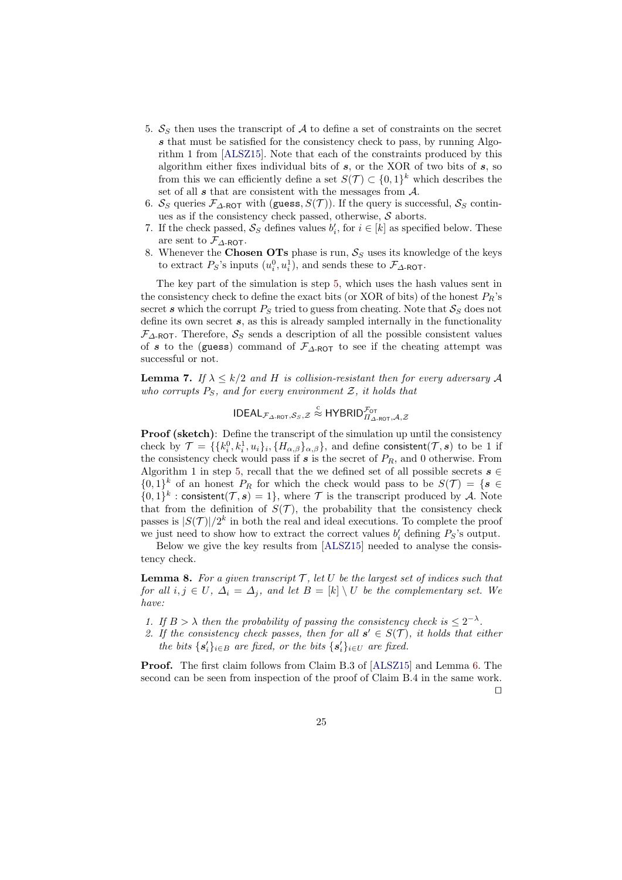- <span id="page-24-0"></span>5.  $S_S$  then uses the transcript of A to define a set of constraints on the secret s that must be satisfied for the consistency check to pass, by running Algorithm 1 from [\[ALSZ15\]](#page-26-1). Note that each of the constraints produced by this algorithm either fixes individual bits of  $s$ , or the XOR of two bits of  $s$ , so from this we can efficiently define a set  $S(\mathcal{T}) \subset \{0,1\}^k$  which describes the set of all  $s$  that are consistent with the messages from  $A$ .
- 6.  $S_S$  queries  $\mathcal{F}_{\Delta\text{-ROT}}$  with (guess,  $S(\mathcal{T})$ ). If the query is successful,  $S_S$  continues as if the consistency check passed, otherwise,  $S$  aborts.
- <span id="page-24-1"></span>7. If the check passed,  $S_S$  defines values  $b'_i$ , for  $i \in [k]$  as specified below. These are sent to  $\mathcal{F}_{\Delta\text{-}\mathsf{ROT}}$ .
- 8. Whenever the Chosen OTs phase is run,  $S_S$  uses its knowledge of the keys to extract  $P_S$ 's inputs  $(u_i^0, u_i^1)$ , and sends these to  $\mathcal{F}_{\Delta\text{-ROT}}$ .

The key part of the simulation is step [5,](#page-24-0) which uses the hash values sent in the consistency check to define the exact bits (or XOR of bits) of the honest  $P_R$ 's secret s which the corrupt  $P_S$  tried to guess from cheating. Note that  $S_S$  does not define its own secret  $s$ , as this is already sampled internally in the functionality  $\mathcal{F}_{\Delta\text{-ROT}}$ . Therefore,  $\mathcal{S}_{S}$  sends a description of all the possible consistent values of s to the (guess) command of  $\mathcal{F}_{\Delta\text{-ROT}}$  to see if the cheating attempt was successful or not.

**Lemma 7.** If  $\lambda \leq k/2$  and H is collision-resistant then for every adversary A who corrupts  $P_S$ , and for every environment  $\mathcal{Z}$ , it holds that

$$
\mathsf{IDEAL}_{\mathcal{F}_{\Delta\text{-}\mathsf{ROT}},\mathcal{S}_S,\mathcal{Z}} \overset{\text{c}}{\approx} \mathsf{HYBRID}_{\Pi_{\Delta\text{-}\mathsf{ROT}},\mathcal{A},\mathcal{Z}}^{\mathcal{F}_\mathsf{OT}}
$$

**Proof (sketch)**: Define the transcript of the simulation up until the consistency check by  $\mathcal{T} = \{\{k_i^0, k_i^1, u_i\}_i, \{H_{\alpha,\beta}\}_{\alpha,\beta}\}\$ , and define consistent $(\mathcal{T}, \mathbf{s})$  to be 1 if the consistency check would pass if  $s$  is the secret of  $P_R$ , and 0 otherwise. From Algorithm 1 in step [5,](#page-24-0) recall that the we defined set of all possible secrets  $s \in \mathbb{Z}$  $\{0,1\}^k$  of an honest  $P_R$  for which the check would pass to be  $S(\mathcal{T}) = \{s \in \mathcal{S} \mid \mathcal{T}\}$  $\{0,1\}^k$ : consistent $(\mathcal{T}, \mathbf{s}) = 1\}$ , where  $\mathcal T$  is the transcript produced by A. Note that from the definition of  $S(\mathcal{T})$ , the probability that the consistency check passes is  $|S(\mathcal{T})|/2^k$  in both the real and ideal executions. To complete the proof we just need to show how to extract the correct values  $b'_i$  defining  $P_S$ 's output.

Below we give the key results from [\[ALSZ15\]](#page-26-1) needed to analyse the consistency check.

**Lemma 8.** For a given transcript  $\mathcal{T}$ , let U be the largest set of indices such that for all  $i, j \in U$ ,  $\Delta_i = \Delta_j$ , and let  $B = [k] \setminus U$  be the complementary set. We  $hane$ :

- 1. If  $B > \lambda$  then the probability of passing the consistency check is  $\leq 2^{-\lambda}$ .
- 2. If the consistency check passes, then for all  $s' \in S(\mathcal{T})$ , it holds that either the bits  $\{s_i'\}_{i\in B}$  are fixed, or the bits  $\{s_i'\}_{i\in U}$  are fixed.

Proof. The first claim follows from Claim B.3 of [\[ALSZ15\]](#page-26-1) and Lemma [6.](#page-23-0) The second can be seen from inspection of the proof of Claim B.4 in the same work.  $\Box$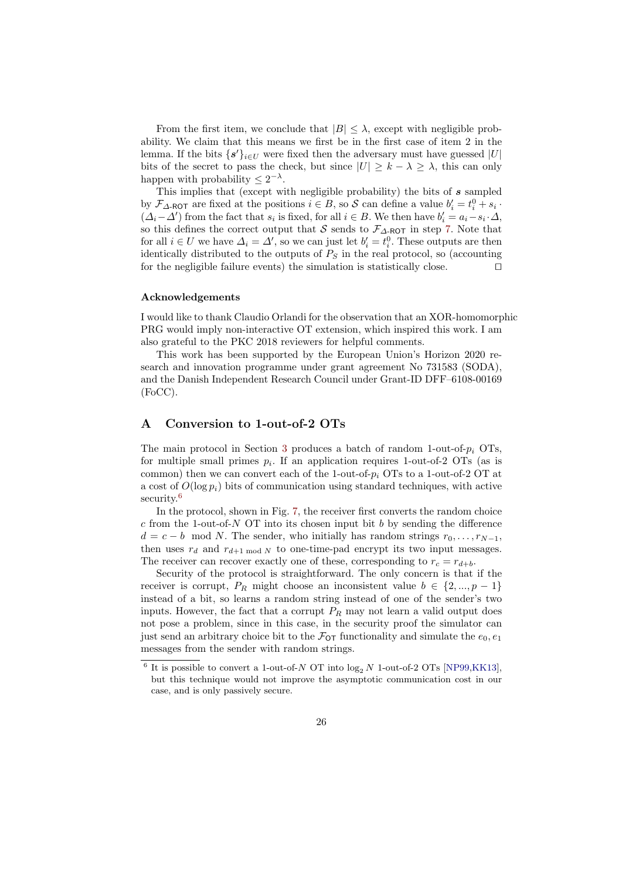From the first item, we conclude that  $|B| \leq \lambda$ , except with negligible probability. We claim that this means we first be in the first case of item 2 in the lemma. If the bits  $\{s'\}_{i\in U}$  were fixed then the adversary must have guessed  $|U|$ bits of the secret to pass the check, but since  $|U| \geq k - \lambda \geq \lambda$ , this can only happen with probability  $\leq 2^{-\lambda}$ .

This implies that (except with negligible probability) the bits of s sampled by  $\mathcal{F}_{\Delta\text{-ROT}}$  are fixed at the positions  $i \in B$ , so  $\mathcal{S}$  can define a value  $b'_i = t_i^0 + s_i$ .  $(\Delta_i - \Delta')$  from the fact that  $s_i$  is fixed, for all  $i \in B$ . We then have  $b'_i = a_i - s_i \cdot \Delta$ , so this defines the correct output that S sends to  $\mathcal{F}_{\Delta\text{-ROT}}$  in step [7.](#page-24-1) Note that for all  $i \in U$  we have  $\Delta_i = \Delta'$ , so we can just let  $b'_i = t_i^0$ . These outputs are then identically distributed to the outputs of  $P<sub>S</sub>$  in the real protocol, so (accounting for the negligible failure events) the simulation is statistically close.  $\Box$ 

#### Acknowledgements

I would like to thank Claudio Orlandi for the observation that an XOR-homomorphic PRG would imply non-interactive OT extension, which inspired this work. I am also grateful to the PKC 2018 reviewers for helpful comments.

This work has been supported by the European Union's Horizon 2020 research and innovation programme under grant agreement No 731583 (SODA), and the Danish Independent Research Council under Grant-ID DFF–6108-00169 (FoCC).

## <span id="page-25-0"></span>A Conversion to 1-out-of-2 OTs

The main protocol in Section [3](#page-9-2) produces a batch of random 1-out-of- $p_i$  OTs, for multiple small primes  $p_i$ . If an application requires 1-out-of-2 OTs (as is common) then we can convert each of the 1-out-of- $p_i$  OTs to a 1-out-of-2 OT at a cost of  $O(\log p_i)$  bits of communication using standard techniques, with active security.<sup>[6](#page-25-1)</sup>

In the protocol, shown in Fig. [7,](#page-26-8) the receiver first converts the random choice c from the 1-out-of-N OT into its chosen input bit b by sending the difference  $d = c - b \mod N$ . The sender, who initially has random strings  $r_0, \ldots, r_{N-1}$ , then uses  $r_d$  and  $r_{d+1 \text{ mod } N}$  to one-time-pad encrypt its two input messages. The receiver can recover exactly one of these, corresponding to  $r_c = r_{d+b}$ .

Security of the protocol is straightforward. The only concern is that if the receiver is corrupt,  $P_R$  might choose an inconsistent value  $b \in \{2,...,p-1\}$ instead of a bit, so learns a random string instead of one of the sender's two inputs. However, the fact that a corrupt  $P_R$  may not learn a valid output does not pose a problem, since in this case, in the security proof the simulator can just send an arbitrary choice bit to the  $\mathcal{F}_{OT}$  functionality and simulate the  $e_0, e_1$ messages from the sender with random strings.

<span id="page-25-1"></span> $^6$  It is possible to convert a 1-out-of- $N$  OT into  $\log_2 N$  1-out-of-2 OTs [\[NP99](#page-28-8)[,KK13\]](#page-28-7), but this technique would not improve the asymptotic communication cost in our case, and is only passively secure.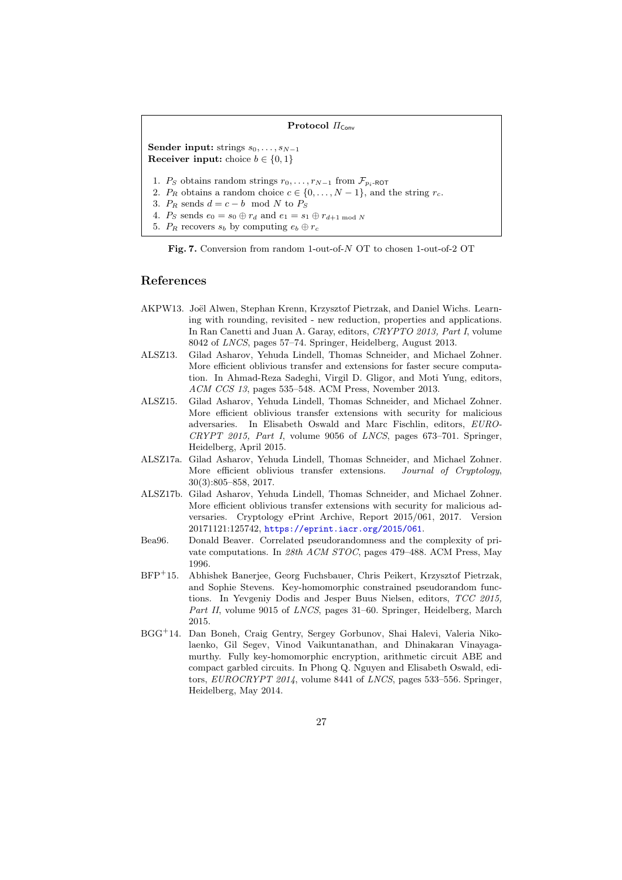#### Protocol  $\Pi_{Conv}$

Sender input: strings  $s_0, \ldots, s_{N-1}$ Receiver input: choice  $b \in \{0, 1\}$ 

1. Ps obtains random strings  $r_0, \ldots, r_{N-1}$  from  $\mathcal{F}_{p_i-ROT}$ 

2.  $P_R$  obtains a random choice  $c \in \{0, \ldots, N-1\}$ , and the string  $r_c$ .

3.  $P_R$  sends  $d = c - b \mod N$  to  $P_S$ 

4.  $P_S$  sends  $e_0 = s_0 \oplus r_d$  and  $e_1 = s_1 \oplus r_{d+1 \mod N}$ 

5.  $P_R$  recovers  $s_b$  by computing  $e_b \oplus r_c$ 

<span id="page-26-8"></span>Fig. 7. Conversion from random 1-out-of-N OT to chosen 1-out-of-2 OT

### References

- <span id="page-26-7"></span>AKPW13. Joël Alwen, Stephan Krenn, Krzysztof Pietrzak, and Daniel Wichs. Learning with rounding, revisited - new reduction, properties and applications. In Ran Canetti and Juan A. Garay, editors, CRYPTO 2013, Part I, volume 8042 of LNCS, pages 57–74. Springer, Heidelberg, August 2013.
- <span id="page-26-5"></span>ALSZ13. Gilad Asharov, Yehuda Lindell, Thomas Schneider, and Michael Zohner. More efficient oblivious transfer and extensions for faster secure computation. In Ahmad-Reza Sadeghi, Virgil D. Gligor, and Moti Yung, editors, ACM CCS 13, pages 535–548. ACM Press, November 2013.
- <span id="page-26-1"></span>ALSZ15. Gilad Asharov, Yehuda Lindell, Thomas Schneider, and Michael Zohner. More efficient oblivious transfer extensions with security for malicious adversaries. In Elisabeth Oswald and Marc Fischlin, editors, EURO-CRYPT 2015, Part I, volume 9056 of LNCS, pages 673–701. Springer, Heidelberg, April 2015.
- <span id="page-26-3"></span>ALSZ17a. Gilad Asharov, Yehuda Lindell, Thomas Schneider, and Michael Zohner. More efficient oblivious transfer extensions. Journal of Cryptology, 30(3):805–858, 2017.
- <span id="page-26-4"></span>ALSZ17b. Gilad Asharov, Yehuda Lindell, Thomas Schneider, and Michael Zohner. More efficient oblivious transfer extensions with security for malicious adversaries. Cryptology ePrint Archive, Report 2015/061, 2017. Version 20171121:125742, <https://eprint.iacr.org/2015/061>.
- <span id="page-26-0"></span>Bea96. Donald Beaver. Correlated pseudorandomness and the complexity of private computations. In 28th ACM STOC, pages 479–488. ACM Press, May 1996.
- <span id="page-26-6"></span>BFP<sup>+</sup>15. Abhishek Banerjee, Georg Fuchsbauer, Chris Peikert, Krzysztof Pietrzak, and Sophie Stevens. Key-homomorphic constrained pseudorandom functions. In Yevgeniy Dodis and Jesper Buus Nielsen, editors, TCC 2015, Part II, volume 9015 of LNCS, pages 31–60. Springer, Heidelberg, March 2015.
- <span id="page-26-2"></span>BGG<sup>+</sup>14. Dan Boneh, Craig Gentry, Sergey Gorbunov, Shai Halevi, Valeria Nikolaenko, Gil Segev, Vinod Vaikuntanathan, and Dhinakaran Vinayagamurthy. Fully key-homomorphic encryption, arithmetic circuit ABE and compact garbled circuits. In Phong Q. Nguyen and Elisabeth Oswald, editors, EUROCRYPT 2014, volume 8441 of LNCS, pages 533–556. Springer, Heidelberg, May 2014.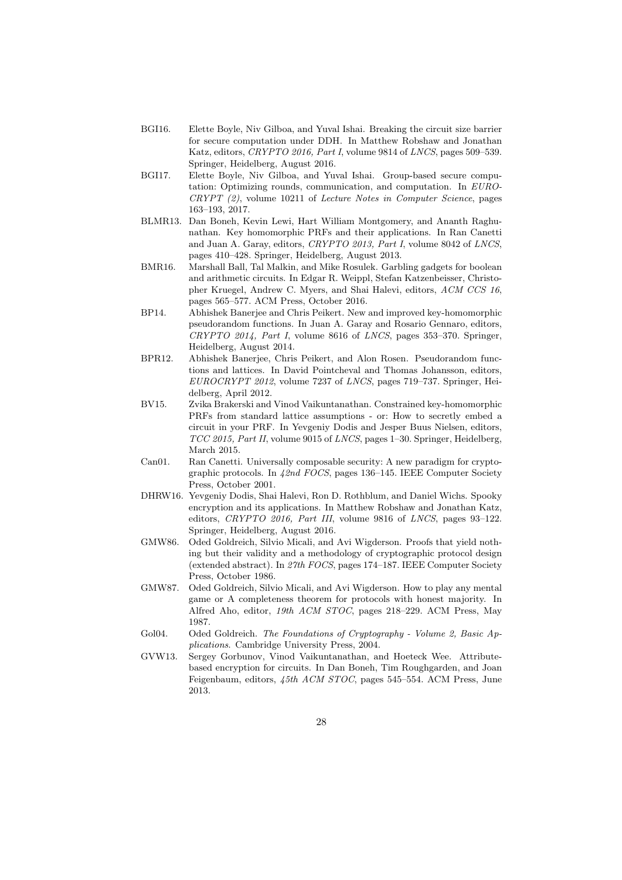- <span id="page-27-4"></span>BGI16. Elette Boyle, Niv Gilboa, and Yuval Ishai. Breaking the circuit size barrier for secure computation under DDH. In Matthew Robshaw and Jonathan Katz, editors, CRYPTO 2016, Part I, volume 9814 of LNCS, pages 509–539. Springer, Heidelberg, August 2016.
- <span id="page-27-3"></span>BGI17. Elette Boyle, Niv Gilboa, and Yuval Ishai. Group-based secure computation: Optimizing rounds, communication, and computation. In EURO-CRYPT (2), volume 10211 of Lecture Notes in Computer Science, pages 163–193, 2017.
- <span id="page-27-7"></span>BLMR13. Dan Boneh, Kevin Lewi, Hart William Montgomery, and Ananth Raghunathan. Key homomorphic PRFs and their applications. In Ran Canetti and Juan A. Garay, editors, CRYPTO 2013, Part I, volume 8042 of LNCS, pages 410–428. Springer, Heidelberg, August 2013.
- <span id="page-27-9"></span>BMR16. Marshall Ball, Tal Malkin, and Mike Rosulek. Garbling gadgets for boolean and arithmetic circuits. In Edgar R. Weippl, Stefan Katzenbeisser, Christopher Kruegel, Andrew C. Myers, and Shai Halevi, editors, ACM CCS 16, pages 565–577. ACM Press, October 2016.
- <span id="page-27-8"></span>BP14. Abhishek Banerjee and Chris Peikert. New and improved key-homomorphic pseudorandom functions. In Juan A. Garay and Rosario Gennaro, editors, CRYPTO 2014, Part I, volume 8616 of LNCS, pages 353–370. Springer, Heidelberg, August 2014.
- <span id="page-27-11"></span>BPR12. Abhishek Banerjee, Chris Peikert, and Alon Rosen. Pseudorandom functions and lattices. In David Pointcheval and Thomas Johansson, editors, EUROCRYPT 2012, volume 7237 of LNCS, pages 719–737. Springer, Heidelberg, April 2012.
- <span id="page-27-12"></span>BV15. Zvika Brakerski and Vinod Vaikuntanathan. Constrained key-homomorphic PRFs from standard lattice assumptions - or: How to secretly embed a circuit in your PRF. In Yevgeniy Dodis and Jesper Buus Nielsen, editors, TCC 2015, Part II, volume 9015 of LNCS, pages 1–30. Springer, Heidelberg, March 2015.
- <span id="page-27-10"></span>Can01. Ran Canetti. Universally composable security: A new paradigm for cryptographic protocols. In 42nd FOCS, pages 136–145. IEEE Computer Society Press, October 2001.
- <span id="page-27-5"></span>DHRW16. Yevgeniy Dodis, Shai Halevi, Ron D. Rothblum, and Daniel Wichs. Spooky encryption and its applications. In Matthew Robshaw and Jonathan Katz, editors, CRYPTO 2016, Part III, volume 9816 of LNCS, pages 93-122. Springer, Heidelberg, August 2016.
- <span id="page-27-2"></span>GMW86. Oded Goldreich, Silvio Micali, and Avi Wigderson. Proofs that yield nothing but their validity and a methodology of cryptographic protocol design (extended abstract). In 27th FOCS, pages 174–187. IEEE Computer Society Press, October 1986.
- <span id="page-27-0"></span>GMW87. Oded Goldreich, Silvio Micali, and Avi Wigderson. How to play any mental game or A completeness theorem for protocols with honest majority. In Alfred Aho, editor, 19th ACM STOC, pages 218–229. ACM Press, May 1987.
- <span id="page-27-1"></span>Gol04. Oded Goldreich. The Foundations of Cryptography - Volume 2, Basic Applications. Cambridge University Press, 2004.
- <span id="page-27-6"></span>GVW13. Sergey Gorbunov, Vinod Vaikuntanathan, and Hoeteck Wee. Attributebased encryption for circuits. In Dan Boneh, Tim Roughgarden, and Joan Feigenbaum, editors, 45th ACM STOC, pages 545–554. ACM Press, June 2013.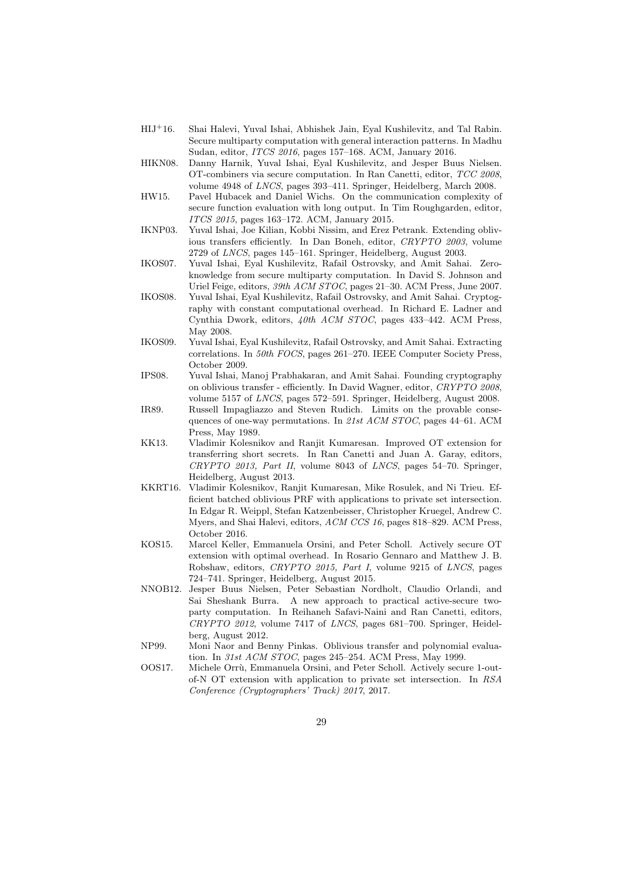- <span id="page-28-13"></span>HIJ<sup>+</sup>16. Shai Halevi, Yuval Ishai, Abhishek Jain, Eyal Kushilevitz, and Tal Rabin. Secure multiparty computation with general interaction patterns. In Madhu Sudan, editor, ITCS 2016, pages 157–168. ACM, January 2016.
- <span id="page-28-3"></span>HIKN08. Danny Harnik, Yuval Ishai, Eyal Kushilevitz, and Jesper Buus Nielsen. OT-combiners via secure computation. In Ran Canetti, editor, TCC 2008, volume 4948 of LNCS, pages 393–411. Springer, Heidelberg, March 2008.
- <span id="page-28-12"></span>HW15. Pavel Hubacek and Daniel Wichs. On the communication complexity of secure function evaluation with long output. In Tim Roughgarden, editor, ITCS 2015, pages 163–172. ACM, January 2015.
- <span id="page-28-2"></span>IKNP03. Yuval Ishai, Joe Kilian, Kobbi Nissim, and Erez Petrank. Extending oblivious transfers efficiently. In Dan Boneh, editor, CRYPTO 2003, volume 2729 of LNCS, pages 145–161. Springer, Heidelberg, August 2003.
- <span id="page-28-11"></span>IKOS07. Yuval Ishai, Eyal Kushilevitz, Rafail Ostrovsky, and Amit Sahai. Zeroknowledge from secure multiparty computation. In David S. Johnson and Uriel Feige, editors, 39th ACM STOC, pages 21–30. ACM Press, June 2007.
- <span id="page-28-9"></span>IKOS08. Yuval Ishai, Eyal Kushilevitz, Rafail Ostrovsky, and Amit Sahai. Cryptography with constant computational overhead. In Richard E. Ladner and Cynthia Dwork, editors, 40th ACM STOC, pages 433–442. ACM Press, May 2008.
- <span id="page-28-10"></span>IKOS09. Yuval Ishai, Eyal Kushilevitz, Rafail Ostrovsky, and Amit Sahai. Extracting correlations. In 50th FOCS, pages 261–270. IEEE Computer Society Press, October 2009.
- <span id="page-28-1"></span>IPS08. Yuval Ishai, Manoj Prabhakaran, and Amit Sahai. Founding cryptography on oblivious transfer - efficiently. In David Wagner, editor, CRYPTO 2008, volume 5157 of LNCS, pages 572–591. Springer, Heidelberg, August 2008.
- <span id="page-28-0"></span>IR89. Russell Impagliazzo and Steven Rudich. Limits on the provable consequences of one-way permutations. In 21st ACM STOC, pages 44–61. ACM Press, May 1989.
- <span id="page-28-7"></span>KK13. Vladimir Kolesnikov and Ranjit Kumaresan. Improved OT extension for transferring short secrets. In Ran Canetti and Juan A. Garay, editors, CRYPTO 2013, Part II, volume 8043 of LNCS, pages 54–70. Springer, Heidelberg, August 2013.
- <span id="page-28-14"></span>KKRT16. Vladimir Kolesnikov, Ranjit Kumaresan, Mike Rosulek, and Ni Trieu. Efficient batched oblivious PRF with applications to private set intersection. In Edgar R. Weippl, Stefan Katzenbeisser, Christopher Kruegel, Andrew C. Myers, and Shai Halevi, editors, ACM CCS 16, pages 818–829. ACM Press, October 2016.
- <span id="page-28-5"></span>KOS15. Marcel Keller, Emmanuela Orsini, and Peter Scholl. Actively secure OT extension with optimal overhead. In Rosario Gennaro and Matthew J. B. Robshaw, editors, CRYPTO 2015, Part I, volume 9215 of LNCS, pages 724–741. Springer, Heidelberg, August 2015.
- <span id="page-28-4"></span>NNOB12. Jesper Buus Nielsen, Peter Sebastian Nordholt, Claudio Orlandi, and Sai Sheshank Burra. A new approach to practical active-secure twoparty computation. In Reihaneh Safavi-Naini and Ran Canetti, editors, CRYPTO 2012, volume 7417 of LNCS, pages 681–700. Springer, Heidelberg, August 2012.
- <span id="page-28-8"></span>NP99. Moni Naor and Benny Pinkas. Oblivious transfer and polynomial evaluation. In 31st ACM STOC, pages 245–254. ACM Press, May 1999.
- <span id="page-28-6"></span>OOS17. Michele Orrù, Emmanuela Orsini, and Peter Scholl. Actively secure 1-outof-N OT extension with application to private set intersection. In RSA Conference (Cryptographers' Track) 2017, 2017.